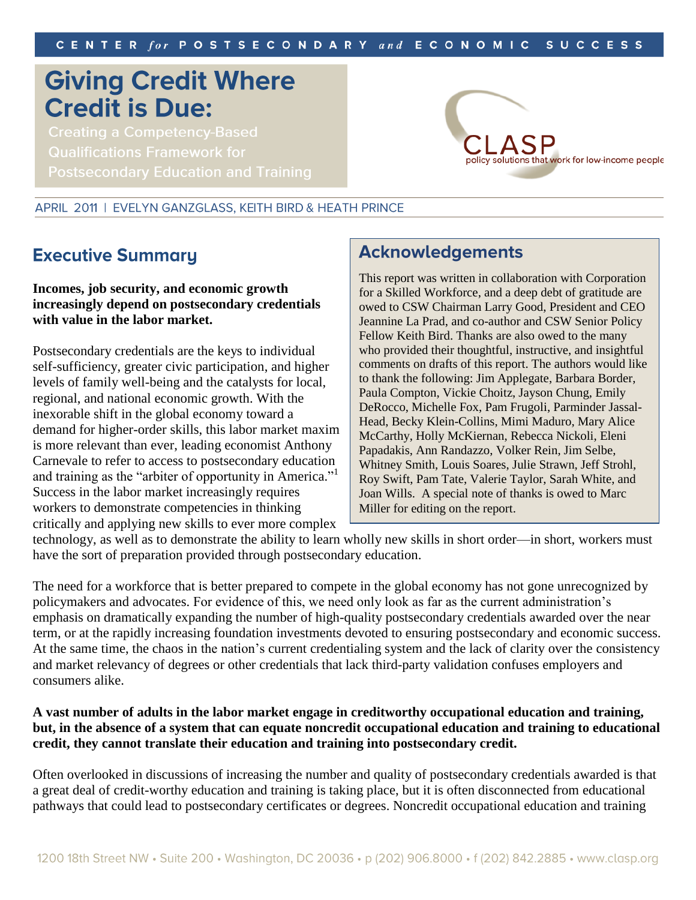# **Giving Credit Where Credit is Due:**

**Creating a Competency-Based Qualifications Framework for** 



#### APRIL 2011 | EVELYN GANZGLASS, KEITH BIRD & HEATH PRINCE

## **Executive Summary**

### **Incomes, job security, and economic growth increasingly depend on postsecondary credentials with value in the labor market.**

Postsecondary credentials are the keys to individual self-sufficiency, greater civic participation, and higher levels of family well-being and the catalysts for local, regional, and national economic growth. With the inexorable shift in the global economy toward a demand for higher-order skills, this labor market maxim is more relevant than ever, leading economist Anthony Carnevale to refer to access to postsecondary education and training as the "arbiter of opportunity in America."<sup>1</sup> Success in the labor market increasingly requires workers to demonstrate competencies in thinking critically and applying new skills to ever more complex

## **Acknowledgements**

This report was written in collaboration with Corporation for a Skilled Workforce, and a deep debt of gratitude are owed to CSW Chairman Larry Good, President and CEO Jeannine La Prad, and co-author and CSW Senior Policy Fellow Keith Bird. Thanks are also owed to the many who provided their thoughtful, instructive, and insightful comments on drafts of this report. The authors would like to thank the following: Jim Applegate, Barbara Border, Paula Compton, Vickie Choitz, Jayson Chung, Emily DeRocco, Michelle Fox, Pam Frugoli, Parminder Jassal-Head, Becky Klein-Collins, Mimi Maduro, Mary Alice McCarthy, Holly McKiernan, Rebecca Nickoli, Eleni Papadakis, Ann Randazzo, Volker Rein, Jim Selbe, Whitney Smith, Louis Soares, Julie Strawn, Jeff Strohl, Roy Swift, Pam Tate, Valerie Taylor, Sarah White, and Joan Wills. A special note of thanks is owed to Marc Miller for editing on the report.

technology, as well as to demonstrate the ability to learn wholly new skills in short order—in short, workers must have the sort of preparation provided through postsecondary education.

The need for a workforce that is better prepared to compete in the global economy has not gone unrecognized by policymakers and advocates. For evidence of this, we need only look as far as the current administration's emphasis on dramatically expanding the number of high-quality postsecondary credentials awarded over the near term, or at the rapidly increasing foundation investments devoted to ensuring postsecondary and economic success. At the same time, the chaos in the nation's current credentialing system and the lack of clarity over the consistency and market relevancy of degrees or other credentials that lack third-party validation confuses employers and consumers alike.

### **A vast number of adults in the labor market engage in creditworthy occupational education and training, but, in the absence of a system that can equate noncredit occupational education and training to educational credit, they cannot translate their education and training into postsecondary credit.**

Often overlooked in discussions of increasing the number and quality of postsecondary credentials awarded is that a great deal of credit-worthy education and training is taking place, but it is often disconnected from educational pathways that could lead to postsecondary certificates or degrees. Noncredit occupational education and training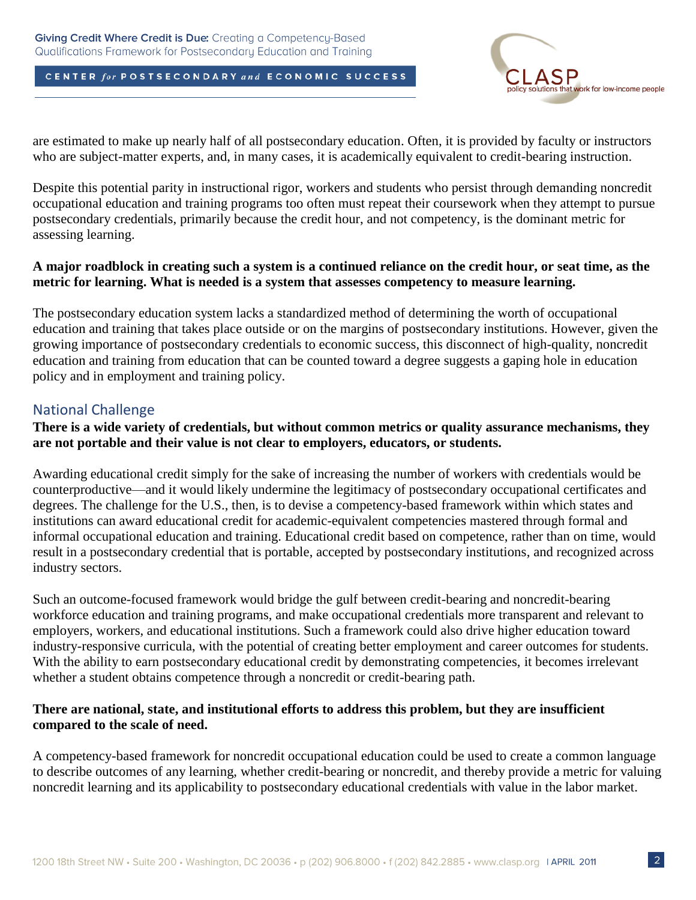

are estimated to make up nearly half of all postsecondary education. Often, it is provided by faculty or instructors who are subject-matter experts, and, in many cases, it is academically equivalent to credit-bearing instruction.

Despite this potential parity in instructional rigor, workers and students who persist through demanding noncredit occupational education and training programs too often must repeat their coursework when they attempt to pursue postsecondary credentials, primarily because the credit hour, and not competency, is the dominant metric for assessing learning.

### **A major roadblock in creating such a system is a continued reliance on the credit hour, or seat time, as the metric for learning. What is needed is a system that assesses competency to measure learning.**

The postsecondary education system lacks a standardized method of determining the worth of occupational education and training that takes place outside or on the margins of postsecondary institutions. However, given the growing importance of postsecondary credentials to economic success, this disconnect of high-quality, noncredit education and training from education that can be counted toward a degree suggests a gaping hole in education policy and in employment and training policy.

### National Challenge

### **There is a wide variety of credentials, but without common metrics or quality assurance mechanisms, they are not portable and their value is not clear to employers, educators, or students.**

Awarding educational credit simply for the sake of increasing the number of workers with credentials would be counterproductive—and it would likely undermine the legitimacy of postsecondary occupational certificates and degrees. The challenge for the U.S., then, is to devise a competency-based framework within which states and institutions can award educational credit for academic-equivalent competencies mastered through formal and informal occupational education and training. Educational credit based on competence, rather than on time, would result in a postsecondary credential that is portable, accepted by postsecondary institutions, and recognized across industry sectors.

Such an outcome-focused framework would bridge the gulf between credit-bearing and noncredit-bearing workforce education and training programs, and make occupational credentials more transparent and relevant to employers, workers, and educational institutions. Such a framework could also drive higher education toward industry-responsive curricula, with the potential of creating better employment and career outcomes for students. With the ability to earn postsecondary educational credit by demonstrating competencies, it becomes irrelevant whether a student obtains competence through a noncredit or credit-bearing path.

### **There are national, state, and institutional efforts to address this problem, but they are insufficient compared to the scale of need.**

A competency-based framework for noncredit occupational education could be used to create a common language to describe outcomes of any learning, whether credit-bearing or noncredit, and thereby provide a metric for valuing noncredit learning and its applicability to postsecondary educational credentials with value in the labor market.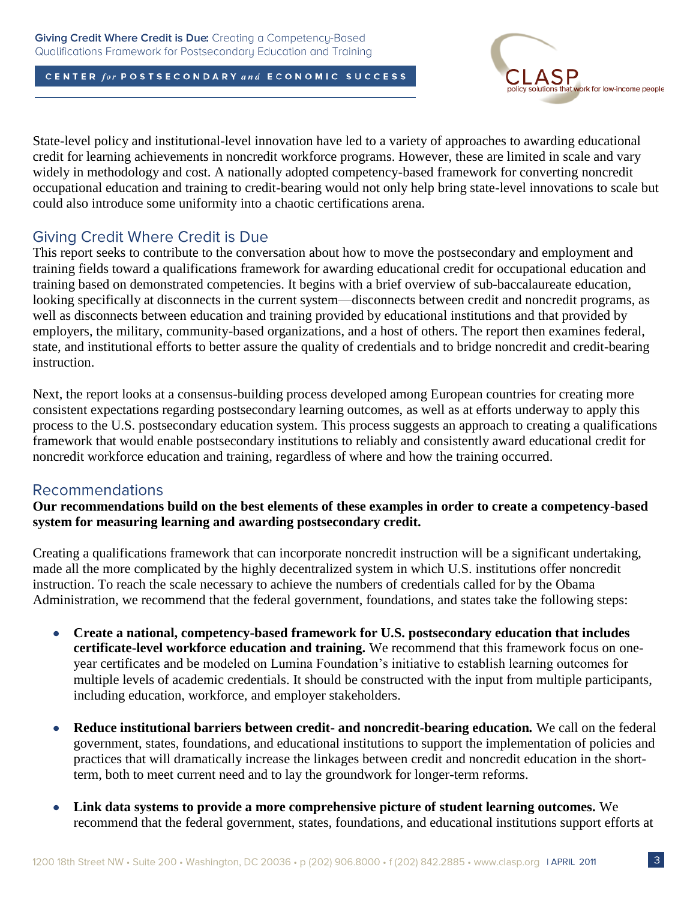

State-level policy and institutional-level innovation have led to a variety of approaches to awarding educational credit for learning achievements in noncredit workforce programs. However, these are limited in scale and vary widely in methodology and cost. A nationally adopted competency-based framework for converting noncredit occupational education and training to credit-bearing would not only help bring state-level innovations to scale but could also introduce some uniformity into a chaotic certifications arena.

## **Giving Credit Where Credit is Due**

This report seeks to contribute to the conversation about how to move the postsecondary and employment and training fields toward a qualifications framework for awarding educational credit for occupational education and training based on demonstrated competencies. It begins with a brief overview of sub-baccalaureate education, looking specifically at disconnects in the current system—disconnects between credit and noncredit programs, as well as disconnects between education and training provided by educational institutions and that provided by employers, the military, community-based organizations, and a host of others. The report then examines federal, state, and institutional efforts to better assure the quality of credentials and to bridge noncredit and credit-bearing instruction.

Next, the report looks at a consensus-building process developed among European countries for creating more consistent expectations regarding postsecondary learning outcomes, as well as at efforts underway to apply this process to the U.S. postsecondary education system. This process suggests an approach to creating a qualifications framework that would enable postsecondary institutions to reliably and consistently award educational credit for noncredit workforce education and training, regardless of where and how the training occurred.

### **Recommendations**

**Our recommendations build on the best elements of these examples in order to create a competency-based system for measuring learning and awarding postsecondary credit.**

Creating a qualifications framework that can incorporate noncredit instruction will be a significant undertaking, made all the more complicated by the highly decentralized system in which U.S. institutions offer noncredit instruction. To reach the scale necessary to achieve the numbers of credentials called for by the Obama Administration, we recommend that the federal government, foundations, and states take the following steps:

- **Create a national, competency-based framework for U.S. postsecondary education that includes**   $\bullet$ **certificate-level workforce education and training.** We recommend that this framework focus on oneyear certificates and be modeled on Lumina Foundation's initiative to establish learning outcomes for multiple levels of academic credentials. It should be constructed with the input from multiple participants, including education, workforce, and employer stakeholders.
- **Reduce institutional barriers between credit- and noncredit-bearing education***.* We call on the federal  $\bullet$ government, states, foundations, and educational institutions to support the implementation of policies and practices that will dramatically increase the linkages between credit and noncredit education in the shortterm, both to meet current need and to lay the groundwork for longer-term reforms.
- **Link data systems to provide a more comprehensive picture of student learning outcomes.** We  $\bullet$ recommend that the federal government, states, foundations, and educational institutions support efforts at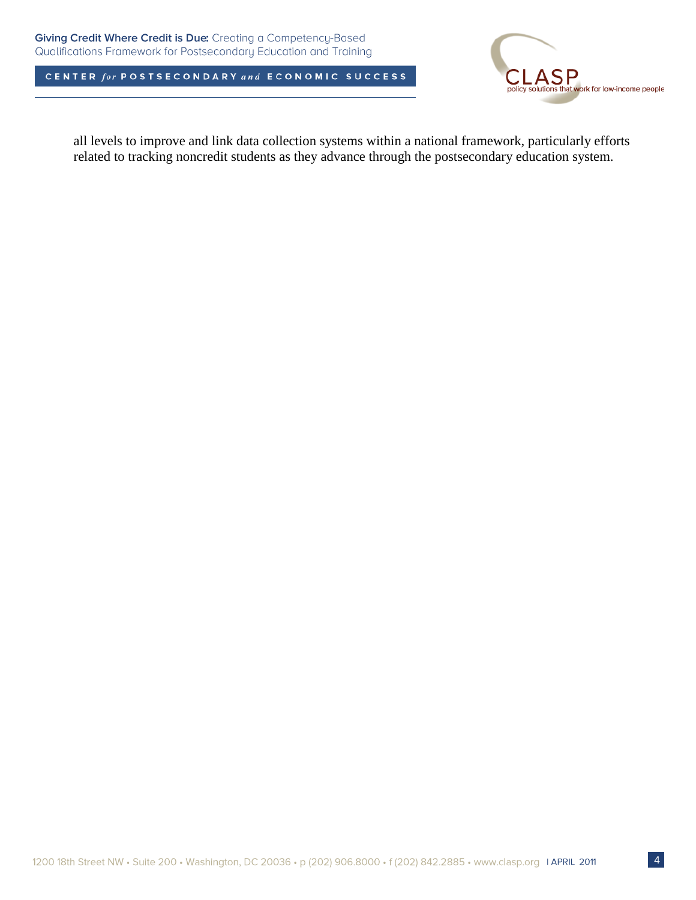

all levels to improve and link data collection systems within a national framework, particularly efforts related to tracking noncredit students as they advance through the postsecondary education system.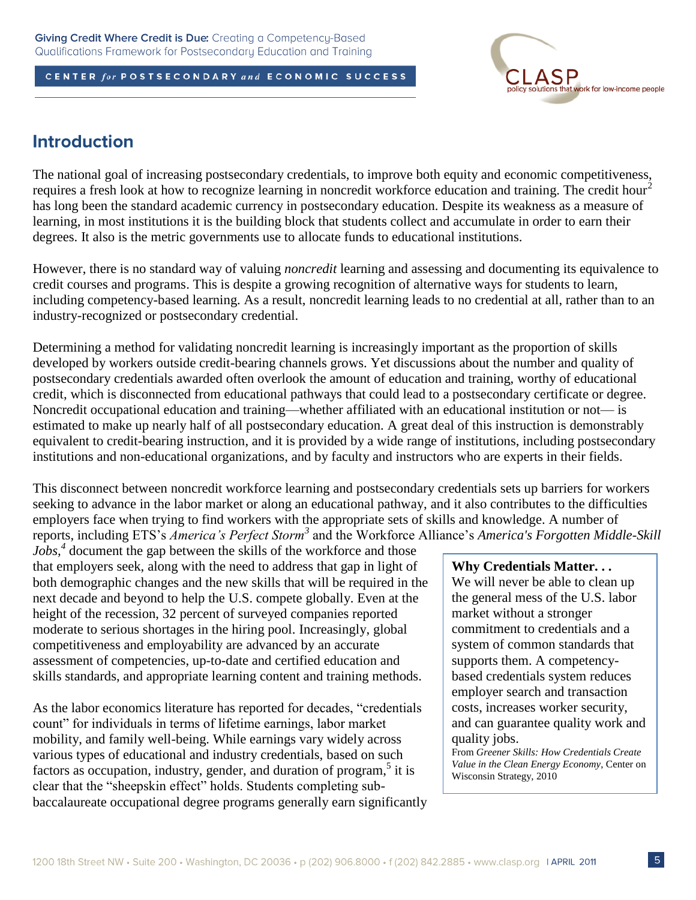

## **Introduction**

The national goal of increasing postsecondary credentials, to improve both equity and economic competitiveness, requires a fresh look at how to recognize learning in noncredit workforce education and training. The credit hour<sup>2</sup> has long been the standard academic currency in postsecondary education. Despite its weakness as a measure of learning, in most institutions it is the building block that students collect and accumulate in order to earn their degrees. It also is the metric governments use to allocate funds to educational institutions.

However, there is no standard way of valuing *noncredit* learning and assessing and documenting its equivalence to credit courses and programs. This is despite a growing recognition of alternative ways for students to learn, including competency-based learning. As a result, noncredit learning leads to no credential at all, rather than to an industry-recognized or postsecondary credential.

Determining a method for validating noncredit learning is increasingly important as the proportion of skills developed by workers outside credit-bearing channels grows. Yet discussions about the number and quality of postsecondary credentials awarded often overlook the amount of education and training, worthy of educational credit, which is disconnected from educational pathways that could lead to a postsecondary certificate or degree. Noncredit occupational education and training—whether affiliated with an educational institution or not— is estimated to make up nearly half of all postsecondary education. A great deal of this instruction is demonstrably equivalent to credit-bearing instruction, and it is provided by a wide range of institutions, including postsecondary institutions and non-educational organizations, and by faculty and instructors who are experts in their fields.

This disconnect between noncredit workforce learning and postsecondary credentials sets up barriers for workers seeking to advance in the labor market or along an educational pathway, and it also contributes to the difficulties employers face when trying to find workers with the appropriate sets of skills and knowledge. A number of reports, including ETS's *America's Perfect Storm<sup>3</sup>* and the Workforce Alliance's *America's Forgotten Middle-Skill* 

*Jobs*,<sup>4</sup> document the gap between the skills of the workforce and those that employers seek, along with the need to address that gap in light of both demographic changes and the new skills that will be required in the next decade and beyond to help the U.S. compete globally. Even at the height of the recession, 32 percent of surveyed companies reported moderate to serious shortages in the hiring pool. Increasingly, global competitiveness and employability are advanced by an accurate assessment of competencies, up-to-date and certified education and skills standards, and appropriate learning content and training methods.

As the labor economics literature has reported for decades, "credentials" count" for individuals in terms of lifetime earnings, labor market mobility, and family well-being. While earnings vary widely across various types of educational and industry credentials, based on such factors as occupation, industry, gender, and duration of program,<sup>5</sup> it is clear that the "sheepskin effect" holds. Students completing subbaccalaureate occupational degree programs generally earn significantly

#### **Why Credentials Matter. . .**

We will never be able to clean up the general mess of the U.S. labor market without a stronger commitment to credentials and a system of common standards that supports them. A competencybased credentials system reduces employer search and transaction costs, increases worker security, and can guarantee quality work and quality jobs.

From *Greener Skills: How Credentials Create Value in the Clean Energy Economy*, Center on Wisconsin Strategy, 2010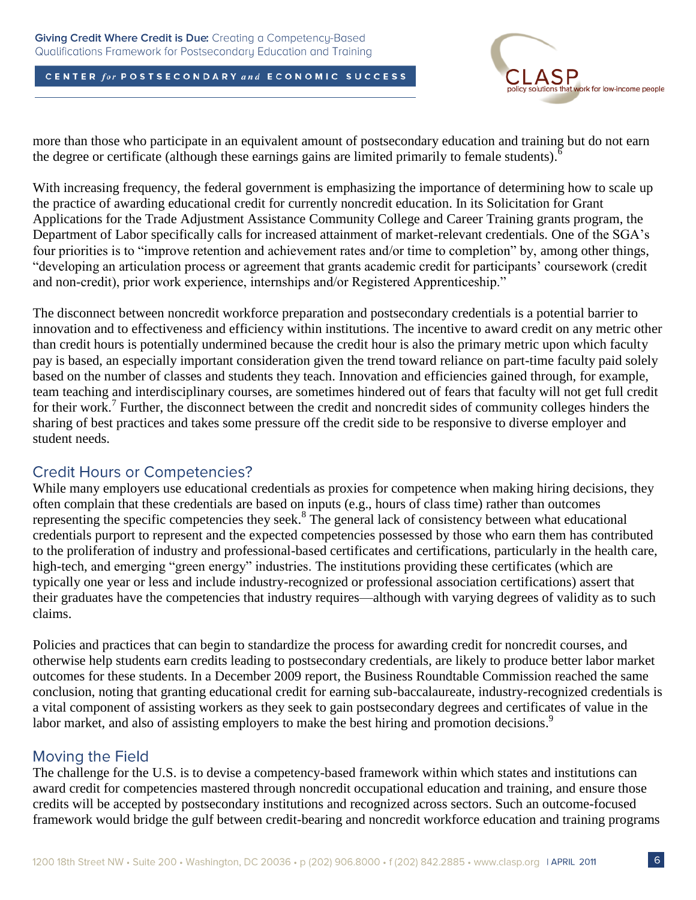

more than those who participate in an equivalent amount of postsecondary education and training but do not earn the degree or certificate (although these earnings gains are limited primarily to female students).

With increasing frequency, the federal government is emphasizing the importance of determining how to scale up the practice of awarding educational credit for currently noncredit education. In its Solicitation for Grant Applications for the Trade Adjustment Assistance Community College and Career Training grants program, the Department of Labor specifically calls for increased attainment of market-relevant credentials. One of the SGA's four priorities is to "improve retention and achievement rates and/or time to completion" by, among other things, ―developing an articulation process or agreement that grants academic credit for participants' coursework (credit and non-credit), prior work experience, internships and/or Registered Apprenticeship."

The disconnect between noncredit workforce preparation and postsecondary credentials is a potential barrier to innovation and to effectiveness and efficiency within institutions. The incentive to award credit on any metric other than credit hours is potentially undermined because the credit hour is also the primary metric upon which faculty pay is based, an especially important consideration given the trend toward reliance on part-time faculty paid solely based on the number of classes and students they teach. Innovation and efficiencies gained through, for example, team teaching and interdisciplinary courses, are sometimes hindered out of fears that faculty will not get full credit for their work.<sup>7</sup> Further, the disconnect between the credit and noncredit sides of community colleges hinders the sharing of best practices and takes some pressure off the credit side to be responsive to diverse employer and student needs.

### **Credit Hours or Competencies?**

While many employers use educational credentials as proxies for competence when making hiring decisions, they often complain that these credentials are based on inputs (e.g., hours of class time) rather than outcomes representing the specific competencies they seek.<sup>8</sup> The general lack of consistency between what educational credentials purport to represent and the expected competencies possessed by those who earn them has contributed to the proliferation of industry and professional-based certificates and certifications, particularly in the health care, high-tech, and emerging "green energy" industries. The institutions providing these certificates (which are typically one year or less and include industry-recognized or professional association certifications) assert that their graduates have the competencies that industry requires—although with varying degrees of validity as to such claims.

Policies and practices that can begin to standardize the process for awarding credit for noncredit courses, and otherwise help students earn credits leading to postsecondary credentials, are likely to produce better labor market outcomes for these students. In a December 2009 report, the Business Roundtable Commission reached the same conclusion, noting that granting educational credit for earning sub-baccalaureate, industry-recognized credentials is a vital component of assisting workers as they seek to gain postsecondary degrees and certificates of value in the labor market, and also of assisting employers to make the best hiring and promotion decisions.<sup>9</sup>

### **Moving the Field**

The challenge for the U.S. is to devise a competency-based framework within which states and institutions can award credit for competencies mastered through noncredit occupational education and training, and ensure those credits will be accepted by postsecondary institutions and recognized across sectors. Such an outcome-focused framework would bridge the gulf between credit-bearing and noncredit workforce education and training programs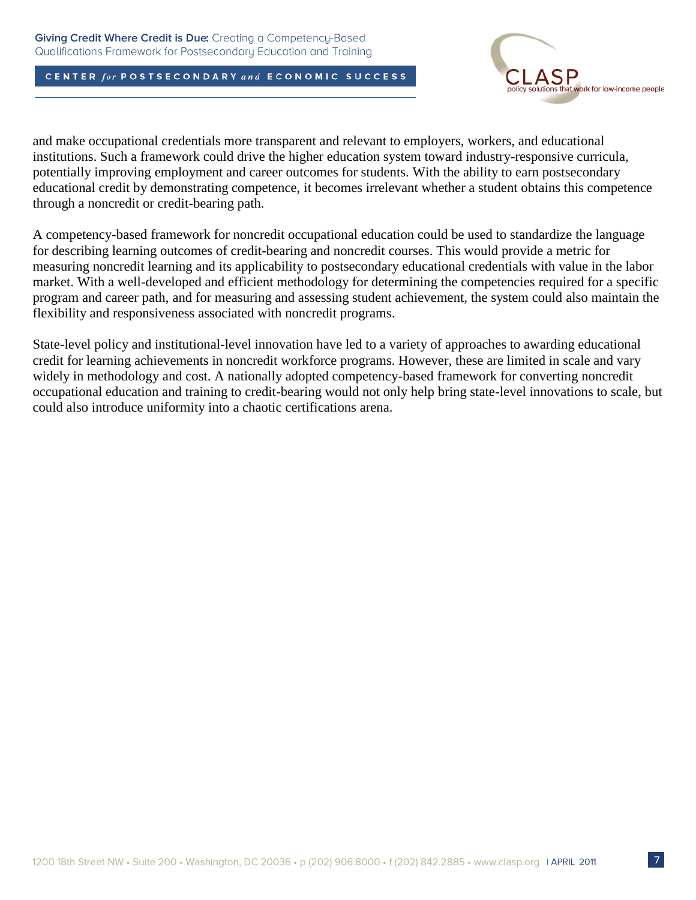

and make occupational credentials more transparent and relevant to employers, workers, and educational institutions. Such a framework could drive the higher education system toward industry-responsive curricula, potentially improving employment and career outcomes for students. With the ability to earn postsecondary educational credit by demonstrating competence, it becomes irrelevant whether a student obtains this competence through a noncredit or credit-bearing path.

A competency-based framework for noncredit occupational education could be used to standardize the language for describing learning outcomes of credit-bearing and noncredit courses. This would provide a metric for measuring noncredit learning and its applicability to postsecondary educational credentials with value in the labor market. With a well-developed and efficient methodology for determining the competencies required for a specific program and career path, and for measuring and assessing student achievement, the system could also maintain the flexibility and responsiveness associated with noncredit programs.

State-level policy and institutional-level innovation have led to a variety of approaches to awarding educational credit for learning achievements in noncredit workforce programs. However, these are limited in scale and vary widely in methodology and cost. A nationally adopted competency-based framework for converting noncredit occupational education and training to credit-bearing would not only help bring state-level innovations to scale, but could also introduce uniformity into a chaotic certifications arena.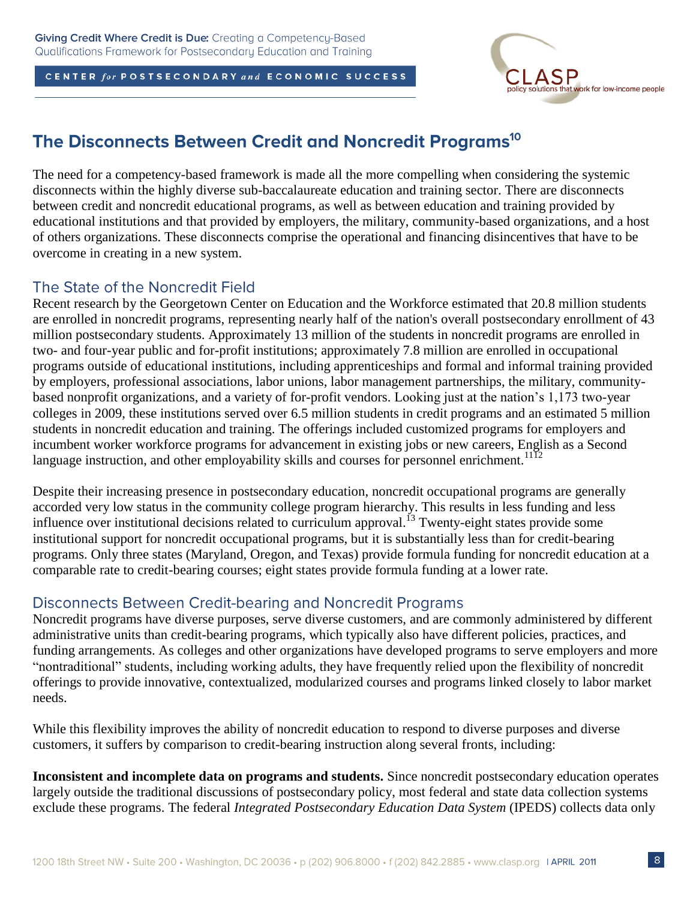

## The Disconnects Between Credit and Noncredit Programs<sup>10</sup>

The need for a competency-based framework is made all the more compelling when considering the systemic disconnects within the highly diverse sub-baccalaureate education and training sector. There are disconnects between credit and noncredit educational programs, as well as between education and training provided by educational institutions and that provided by employers, the military, community-based organizations, and a host of others organizations. These disconnects comprise the operational and financing disincentives that have to be overcome in creating in a new system.

### The State of the Noncredit Field

Recent research by the Georgetown Center on Education and the Workforce estimated that 20.8 million students are enrolled in noncredit programs, representing nearly half of the nation's overall postsecondary enrollment of 43 million postsecondary students. Approximately 13 million of the students in noncredit programs are enrolled in two- and four-year public and for-profit institutions; approximately 7.8 million are enrolled in occupational programs outside of educational institutions, including apprenticeships and formal and informal training provided by employers, professional associations, labor unions, labor management partnerships, the military, communitybased nonprofit organizations, and a variety of for-profit vendors. Looking just at the nation's 1,173 two-year colleges in 2009, these institutions served over 6.5 million students in credit programs and an estimated 5 million students in noncredit education and training. The offerings included customized programs for employers and incumbent worker workforce programs for advancement in existing jobs or new careers, English as a Second language instruction, and other employability skills and courses for personnel enrichment.<sup>1112</sup>

Despite their increasing presence in postsecondary education, noncredit occupational programs are generally accorded very low status in the community college program hierarchy. This results in less funding and less influence over institutional decisions related to curriculum approval.<sup>13</sup> Twenty-eight states provide some institutional support for noncredit occupational programs, but it is substantially less than for credit-bearing programs. Only three states (Maryland, Oregon, and Texas) provide formula funding for noncredit education at a comparable rate to credit-bearing courses; eight states provide formula funding at a lower rate.

### Disconnects Between Credit-bearing and Noncredit Programs

Noncredit programs have diverse purposes, serve diverse customers, and are commonly administered by different administrative units than credit-bearing programs, which typically also have different policies, practices, and funding arrangements. As colleges and other organizations have developed programs to serve employers and more "nontraditional" students, including working adults, they have frequently relied upon the flexibility of noncredit offerings to provide innovative, contextualized, modularized courses and programs linked closely to labor market needs.

While this flexibility improves the ability of noncredit education to respond to diverse purposes and diverse customers, it suffers by comparison to credit-bearing instruction along several fronts, including:

**Inconsistent and incomplete data on programs and students.** Since noncredit postsecondary education operates largely outside the traditional discussions of postsecondary policy, most federal and state data collection systems exclude these programs. The federal *Integrated Postsecondary Education Data System* (IPEDS) collects data only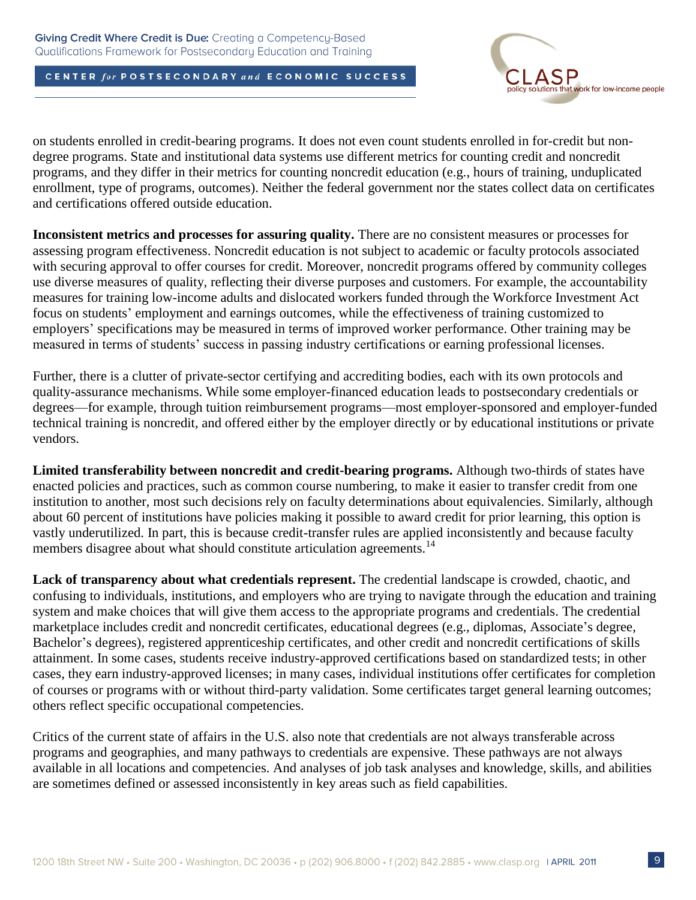

on students enrolled in credit-bearing programs. It does not even count students enrolled in for-credit but nondegree programs. State and institutional data systems use different metrics for counting credit and noncredit programs, and they differ in their metrics for counting noncredit education (e.g., hours of training, unduplicated enrollment, type of programs, outcomes). Neither the federal government nor the states collect data on certificates and certifications offered outside education.

**Inconsistent metrics and processes for assuring quality.** There are no consistent measures or processes for assessing program effectiveness. Noncredit education is not subject to academic or faculty protocols associated with securing approval to offer courses for credit. Moreover, noncredit programs offered by community colleges use diverse measures of quality, reflecting their diverse purposes and customers. For example, the accountability measures for training low-income adults and dislocated workers funded through the Workforce Investment Act focus on students' employment and earnings outcomes, while the effectiveness of training customized to employers' specifications may be measured in terms of improved worker performance. Other training may be measured in terms of students' success in passing industry certifications or earning professional licenses.

Further, there is a clutter of private-sector certifying and accrediting bodies, each with its own protocols and quality-assurance mechanisms. While some employer-financed education leads to postsecondary credentials or degrees—for example, through tuition reimbursement programs—most employer-sponsored and employer-funded technical training is noncredit, and offered either by the employer directly or by educational institutions or private vendors.

**Limited transferability between noncredit and credit-bearing programs.** Although two-thirds of states have enacted policies and practices, such as common course numbering, to make it easier to transfer credit from one institution to another, most such decisions rely on faculty determinations about equivalencies. Similarly, although about 60 percent of institutions have policies making it possible to award credit for prior learning, this option is vastly underutilized. In part, this is because credit-transfer rules are applied inconsistently and because faculty members disagree about what should constitute articulation agreements.<sup>14</sup>

**Lack of transparency about what credentials represent.** The credential landscape is crowded, chaotic, and confusing to individuals, institutions, and employers who are trying to navigate through the education and training system and make choices that will give them access to the appropriate programs and credentials. The credential marketplace includes credit and noncredit certificates, educational degrees (e.g., diplomas, Associate's degree, Bachelor's degrees), registered apprenticeship certificates, and other credit and noncredit certifications of skills attainment. In some cases, students receive industry-approved certifications based on standardized tests; in other cases, they earn industry-approved licenses; in many cases, individual institutions offer certificates for completion of courses or programs with or without third-party validation. Some certificates target general learning outcomes; others reflect specific occupational competencies.

Critics of the current state of affairs in the U.S. also note that credentials are not always transferable across programs and geographies, and many pathways to credentials are expensive. These pathways are not always available in all locations and competencies. And analyses of job task analyses and knowledge, skills, and abilities are sometimes defined or assessed inconsistently in key areas such as field capabilities.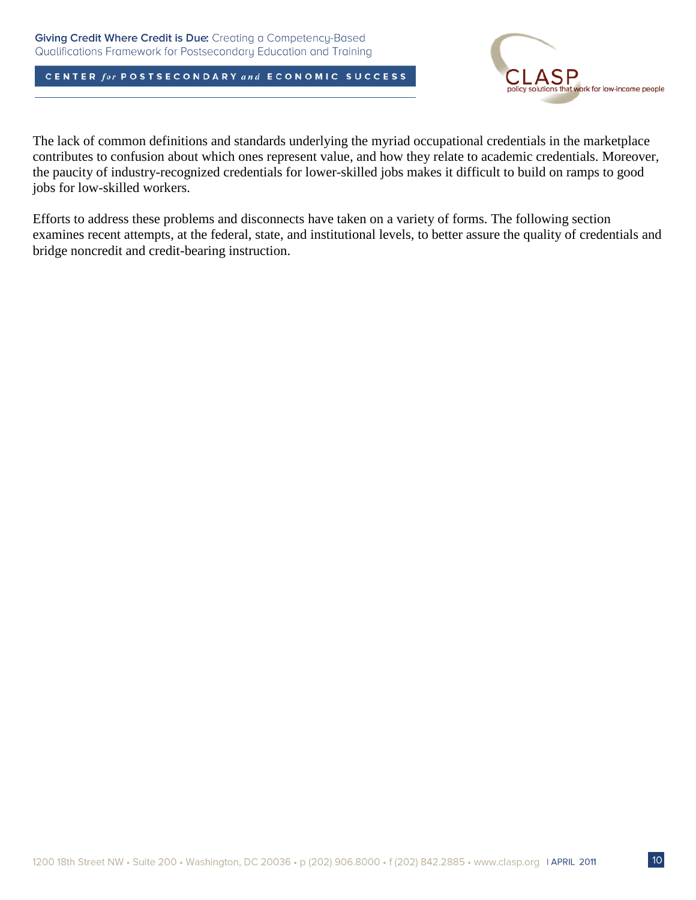

The lack of common definitions and standards underlying the myriad occupational credentials in the marketplace contributes to confusion about which ones represent value, and how they relate to academic credentials. Moreover, the paucity of industry-recognized credentials for lower-skilled jobs makes it difficult to build on ramps to good jobs for low-skilled workers.

Efforts to address these problems and disconnects have taken on a variety of forms. The following section examines recent attempts, at the federal, state, and institutional levels, to better assure the quality of credentials and bridge noncredit and credit-bearing instruction.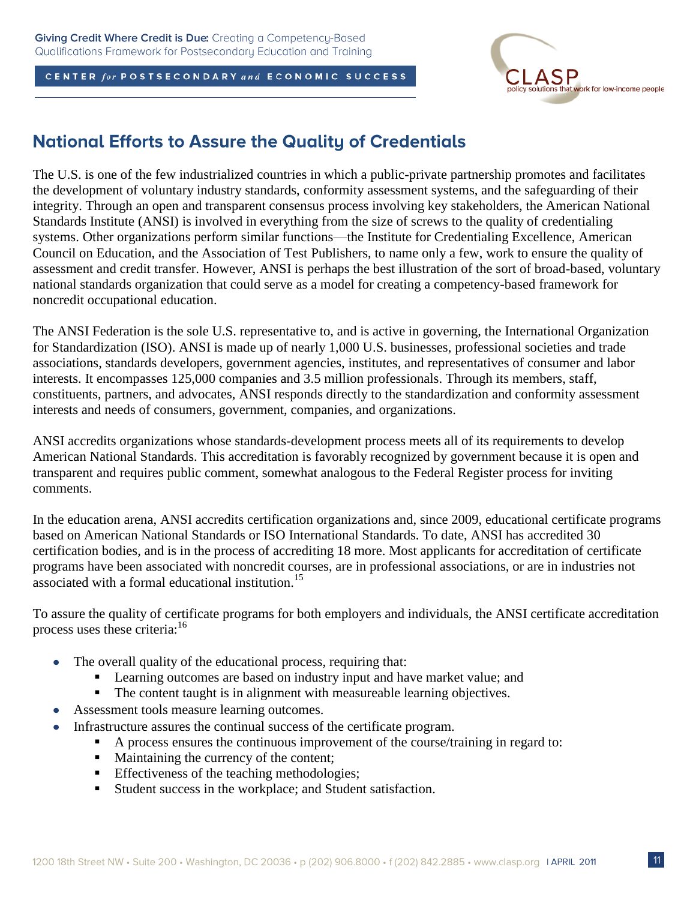

## **National Efforts to Assure the Quality of Credentials**

The U.S. is one of the few industrialized countries in which a public-private partnership promotes and facilitates the development of voluntary industry standards, conformity assessment systems, and the safeguarding of their integrity. Through an open and transparent consensus process involving key stakeholders, the American National Standards Institute (ANSI) is involved in everything from the size of screws to the quality of credentialing systems. Other organizations perform similar functions—the Institute for Credentialing Excellence, American Council on Education, and the Association of Test Publishers, to name only a few, work to ensure the quality of assessment and credit transfer. However, ANSI is perhaps the best illustration of the sort of broad-based, voluntary national standards organization that could serve as a model for creating a competency-based framework for noncredit occupational education.

The ANSI Federation is the sole U.S. representative to, and is active in governing, the International Organization for Standardization (ISO). ANSI is made up of nearly 1,000 U.S. businesses, professional societies and trade associations, standards developers, government agencies, institutes, and representatives of consumer and labor interests. It encompasses 125,000 companies and 3.5 million professionals. Through its members, staff, constituents, partners, and advocates, ANSI responds directly to the standardization and conformity assessment interests and needs of consumers, government, companies, and organizations.

ANSI accredits organizations whose standards-development process meets all of its requirements to develop American National Standards. This accreditation is favorably recognized by government because it is open and transparent and requires public comment, somewhat analogous to the Federal Register process for inviting comments.

In the education arena, ANSI accredits certification organizations and, since 2009, educational certificate programs based on American National Standards or ISO International Standards. To date, ANSI has accredited 30 certification bodies, and is in the process of accrediting 18 more. Most applicants for accreditation of certificate programs have been associated with noncredit courses, are in professional associations, or are in industries not associated with a formal educational institution.<sup>15</sup>

To assure the quality of certificate programs for both employers and individuals, the ANSI certificate accreditation process uses these criteria:<sup>16</sup>

- The overall quality of the educational process, requiring that:  $\bullet$ 
	- **Learning outcomes are based on industry input and have market value; and**
	- The content taught is in alignment with measureable learning objectives.
- Assessment tools measure learning outcomes.  $\bullet$
- Infrastructure assures the continual success of the certificate program.
	- A process ensures the continuous improvement of the course/training in regard to:
	- Maintaining the currency of the content;
	- Effectiveness of the teaching methodologies;
	- Student success in the workplace; and Student satisfaction.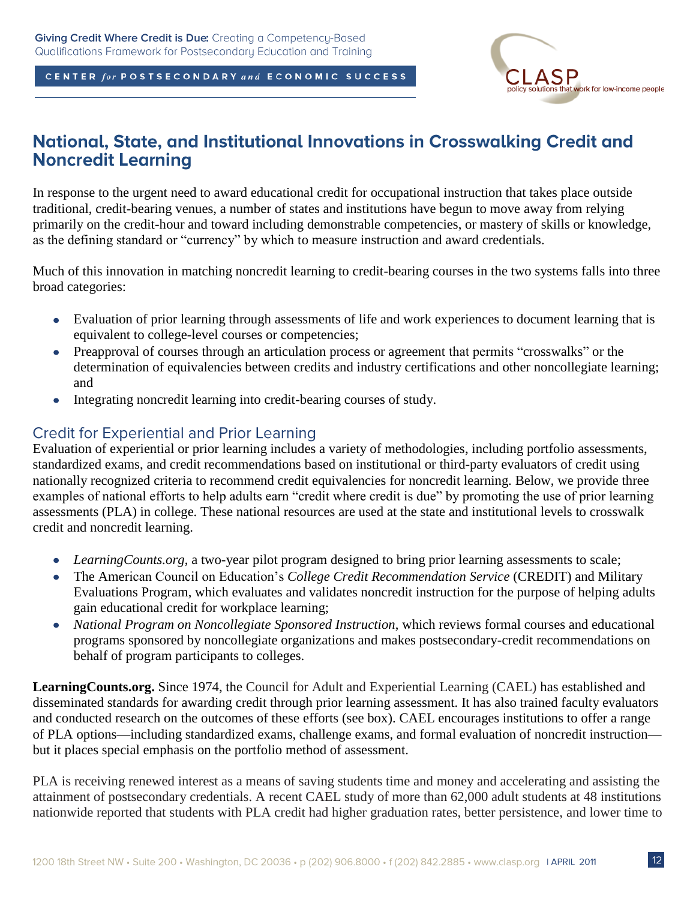that work for low-income people

CENTER for POSTSECONDARY and ECONOMIC SUCCESS

## National, State, and Institutional Innovations in Crosswalking Credit and **Noncredit Learning**

In response to the urgent need to award educational credit for occupational instruction that takes place outside traditional, credit-bearing venues, a number of states and institutions have begun to move away from relying primarily on the credit-hour and toward including demonstrable competencies, or mastery of skills or knowledge, as the defining standard or "currency" by which to measure instruction and award credentials.

Much of this innovation in matching noncredit learning to credit-bearing courses in the two systems falls into three broad categories:

- Evaluation of prior learning through assessments of life and work experiences to document learning that is  $\bullet$ equivalent to college-level courses or competencies;
- Preapproval of courses through an articulation process or agreement that permits "crosswalks" or the  $\bullet$ determination of equivalencies between credits and industry certifications and other noncollegiate learning; and
- Integrating noncredit learning into credit-bearing courses of study.  $\bullet$

### **Credit for Experiential and Prior Learning**

Evaluation of experiential or prior learning includes a variety of methodologies, including portfolio assessments, standardized exams, and credit recommendations based on institutional or third-party evaluators of credit using nationally recognized criteria to recommend credit equivalencies for noncredit learning. Below, we provide three examples of national efforts to help adults earn "credit where credit is due" by promoting the use of prior learning assessments (PLA) in college. These national resources are used at the state and institutional levels to crosswalk credit and noncredit learning.

- *LearningCounts.org*, a two-year pilot program designed to bring prior learning assessments to scale;
- The American Council on Education's *College Credit Recommendation Service* (CREDIT) and Military  $\bullet$ Evaluations Program, which evaluates and validates noncredit instruction for the purpose of helping adults gain educational credit for workplace learning;
- *National Program on Noncollegiate Sponsored Instruction*, which reviews formal courses and educational programs sponsored by noncollegiate organizations and makes postsecondary-credit recommendations on behalf of program participants to colleges.

**LearningCounts.org.** Since 1974, the Council for Adult and Experiential Learning (CAEL) has established and disseminated standards for awarding credit through prior learning assessment. It has also trained faculty evaluators and conducted research on the outcomes of these efforts (see box). CAEL encourages institutions to offer a range of PLA options—including standardized exams, challenge exams, and formal evaluation of noncredit instruction but it places special emphasis on the portfolio method of assessment.

PLA is receiving renewed interest as a means of saving students time and money and accelerating and assisting the attainment of postsecondary credentials. A recent CAEL study of more than 62,000 adult students at 48 institutions nationwide reported that students with PLA credit had higher graduation rates, better persistence, and lower time to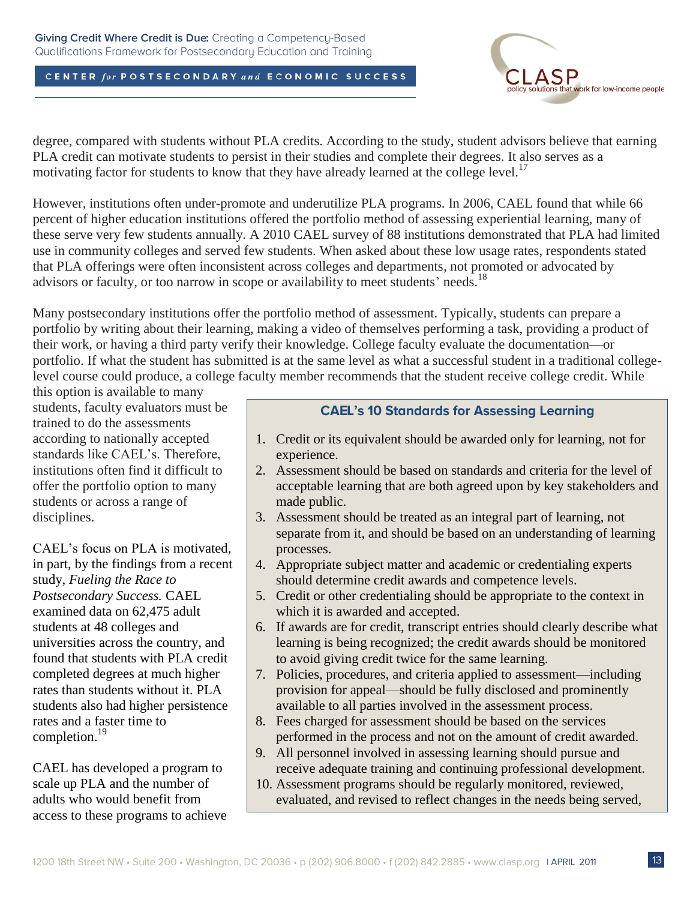#### Giving Credit Where Credit is Due: Creating a Competency-Based Qualifications Framework for Postsecondary Education and Training

### CENTER for POSTSECONDARY and ECONOMIC SUCCESS



degree, compared with students without PLA credits. According to the study, student advisors believe that earning PLA credit can motivate students to persist in their studies and complete their degrees. It also serves as a motivating factor for students to know that they have already learned at the college level.<sup>17</sup>

However, institutions often under-promote and underutilize PLA programs. In 2006, CAEL found that while 66 percent of higher education institutions offered the portfolio method of assessing experiential learning, many of these serve very few students annually. A 2010 CAEL survey of 88 institutions demonstrated that PLA had limited use in community colleges and served few students. When asked about these low usage rates, respondents stated that PLA offerings were often inconsistent across colleges and departments, not promoted or advocated by advisors or faculty, or too narrow in scope or availability to meet students' needs.<sup>18</sup>

Many postsecondary institutions offer the portfolio method of assessment. Typically, students can prepare a portfolio by writing about their learning, making a video of themselves performing a task, providing a product of their work, or having a third party verify their knowledge. College faculty evaluate the documentation—or portfolio. If what the student has submitted is at the same level as what a successful student in a traditional collegelevel course could produce, a college faculty member recommends that the student receive college credit. While

this option is available to many students, faculty evaluators must be trained to do the assessments according to nationally accepted standards like CAEL's. Therefore, institutions often find it difficult to offer the portfolio option to many students or across a range of disciplines.

CAEL's focus on PLA is motivated, in part, by the findings from a recent study, *Fueling the Race to Postsecondary Success.* CAEL examined data on 62,475 adult students at 48 colleges and universities across the country, and found that students with PLA credit completed degrees at much higher rates than students without it. PLA students also had higher persistence rates and a faster time to completion. 19

CAEL has developed a program to scale up PLA and the number of adults who would benefit from access to these programs to achieve

### **CAEL's 10 Standards for Assessing Learning**

- 1. Credit or its equivalent should be awarded only for learning, not for experience.
- 2. Assessment should be based on standards and criteria for the level of acceptable learning that are both agreed upon by key stakeholders and made public.
- 3. Assessment should be treated as an integral part of learning, not separate from it, and should be based on an understanding of learning processes.
- 4. Appropriate subject matter and academic or credentialing experts should determine credit awards and competence levels.
- 5. Credit or other credentialing should be appropriate to the context in which it is awarded and accepted.
- 6. If awards are for credit, transcript entries should clearly describe what learning is being recognized; the credit awards should be monitored to avoid giving credit twice for the same learning.
- 7. Policies, procedures, and criteria applied to assessment—including provision for appeal—should be fully disclosed and prominently available to all parties involved in the assessment process.
- 8. Fees charged for assessment should be based on the services performed in the process and not on the amount of credit awarded.
- 9. All personnel involved in assessing learning should pursue and receive adequate training and continuing professional development.
- 10. Assessment programs should be regularly monitored, reviewed, evaluated, and revised to reflect changes in the needs being served,

the purposes being met, and the state of the assessment arts.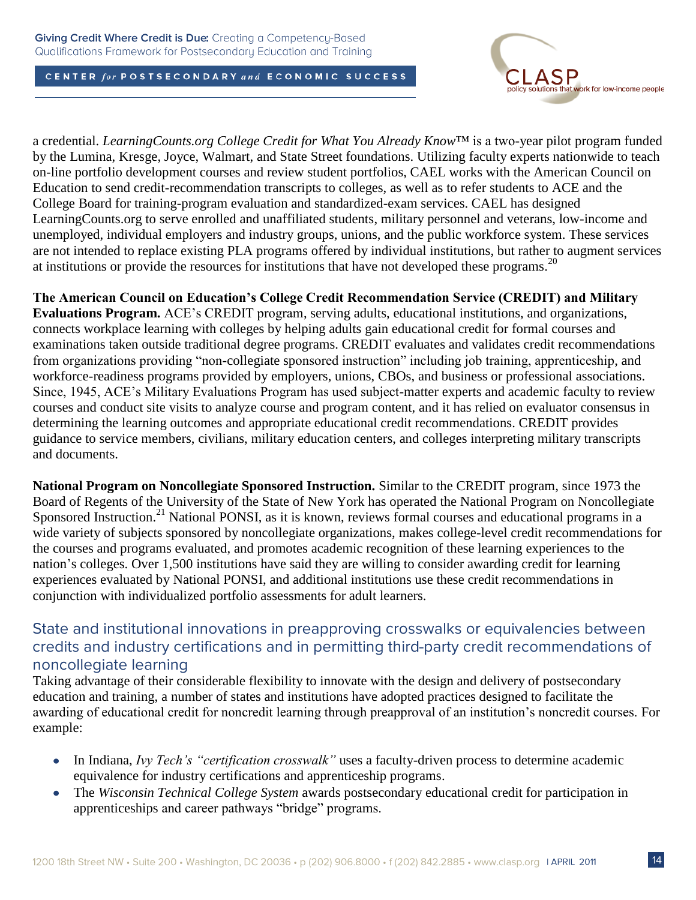

a credential. *LearningCounts.org College Credit for What You Already Know*™ is a two-year pilot program funded by the Lumina, Kresge, Joyce, Walmart, and State Street foundations. Utilizing faculty experts nationwide to teach on-line portfolio development courses and review student portfolios, CAEL works with the American Council on Education to send credit-recommendation transcripts to colleges, as well as to refer students to ACE and the College Board for training-program evaluation and standardized-exam services. CAEL has designed LearningCounts.org to serve enrolled and unaffiliated students, military personnel and veterans, low-income and unemployed, individual employers and industry groups, unions, and the public workforce system. These services are not intended to replace existing PLA programs offered by individual institutions, but rather to augment services at institutions or provide the resources for institutions that have not developed these programs.<sup>20</sup>

**The American Council on Education's College Credit Recommendation Service (CREDIT) and Military Evaluations Program.** ACE's CREDIT program, serving adults, educational institutions, and organizations, connects workplace learning with colleges by helping adults gain educational credit for formal courses and examinations taken outside traditional degree programs. CREDIT evaluates and validates credit recommendations from organizations providing "non-collegiate sponsored instruction" including job training, apprenticeship, and workforce-readiness programs provided by employers, unions, CBOs, and business or professional associations. Since, 1945, ACE's Military Evaluations Program has used subject-matter experts and academic faculty to review courses and conduct site visits to analyze course and program content, and it has relied on evaluator consensus in determining the learning outcomes and appropriate educational credit recommendations. CREDIT provides guidance to service members, civilians, military education centers, and colleges interpreting military transcripts and documents.

**National Program on Noncollegiate Sponsored Instruction.** Similar to the CREDIT program, since 1973 the Board of Regents of the University of the State of New York has operated the National Program on Noncollegiate Sponsored Instruction.<sup>21</sup> National PONSI, as it is known, reviews formal courses and educational programs in a wide variety of subjects sponsored by noncollegiate organizations, makes college-level credit recommendations for the courses and programs evaluated, and promotes academic recognition of these learning experiences to the nation's colleges. Over 1,500 institutions have said they are willing to consider awarding credit for learning experiences evaluated by National PONSI, and additional institutions use these credit recommendations in conjunction with individualized portfolio assessments for adult learners.

## State and institutional innovations in preapproving crosswalks or equivalencies between credits and industry certifications and in permitting third-party credit recommendations of noncollegiate learning

Taking advantage of their considerable flexibility to innovate with the design and delivery of postsecondary education and training, a number of states and institutions have adopted practices designed to facilitate the awarding of educational credit for noncredit learning through preapproval of an institution's noncredit courses. For example:

- In Indiana, *Ivy Tech's "certification crosswalk"* uses a faculty-driven process to determine academic equivalence for industry certifications and apprenticeship programs.
- The *Wisconsin Technical College System* awards postsecondary educational credit for participation in  $\bullet$ apprenticeships and career pathways "bridge" programs.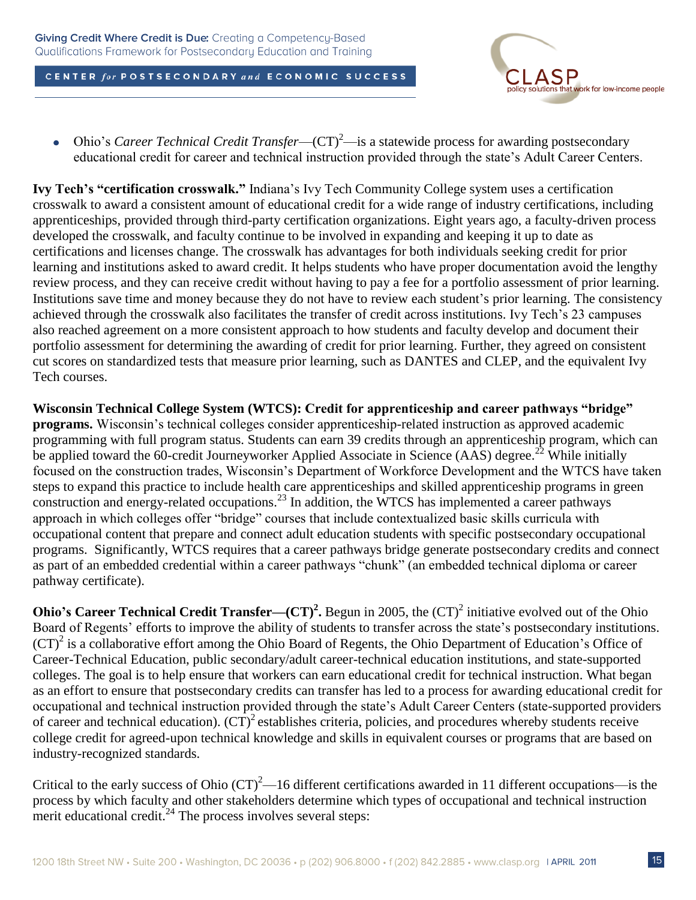

Ohio's *Career Technical Credit Transfer*—(CT)<sup>2</sup>—is a statewide process for awarding postsecondary educational credit for career and technical instruction provided through the state's Adult Career Centers.

**Ivy Tech's "certification crosswalk."** Indiana's Ivy Tech Community College system uses a certification crosswalk to award a consistent amount of educational credit for a wide range of industry certifications, including apprenticeships, provided through third-party certification organizations. Eight years ago, a faculty-driven process developed the crosswalk, and faculty continue to be involved in expanding and keeping it up to date as certifications and licenses change. The crosswalk has advantages for both individuals seeking credit for prior learning and institutions asked to award credit. It helps students who have proper documentation avoid the lengthy review process, and they can receive credit without having to pay a fee for a portfolio assessment of prior learning. Institutions save time and money because they do not have to review each student's prior learning. The consistency achieved through the crosswalk also facilitates the transfer of credit across institutions. Ivy Tech's 23 campuses also reached agreement on a more consistent approach to how students and faculty develop and document their portfolio assessment for determining the awarding of credit for prior learning. Further, they agreed on consistent cut scores on standardized tests that measure prior learning, such as DANTES and CLEP, and the equivalent Ivy Tech courses.

**Wisconsin Technical College System (WTCS): Credit for apprenticeship and career pathways "bridge" programs.** Wisconsin's technical colleges consider apprenticeship-related instruction as approved academic programming with full program status. Students can earn 39 credits through an apprenticeship program, which can be applied toward the 60-credit Journeyworker Applied Associate in Science (AAS) degree.<sup>22</sup> While initially focused on the construction trades, Wisconsin's Department of Workforce Development and the WTCS have taken steps to expand this practice to include health care apprenticeships and skilled apprenticeship programs in green construction and energy-related occupations. <sup>23</sup> In addition, the WTCS has implemented a career pathways approach in which colleges offer "bridge" courses that include contextualized basic skills curricula with occupational content that prepare and connect adult education students with specific postsecondary occupational programs. Significantly, WTCS requires that a career pathways bridge generate postsecondary credits and connect as part of an embedded credential within a career pathways "chunk" (an embedded technical diploma or career pathway certificate).

**Ohio's Career Technical Credit Transfer—** $(CT)^2$ **. Begun in 2005, the**  $(CT)^2$  **initiative evolved out of the Ohio** Board of Regents' efforts to improve the ability of students to transfer across the state's postsecondary institutions. (CT)<sup>2</sup> is a collaborative effort among the Ohio Board of Regents, the Ohio Department of Education's Office of Career-Technical Education, public secondary/adult career-technical education institutions, and state-supported colleges. The goal is to help ensure that workers can earn educational credit for technical instruction. What began as an effort to ensure that postsecondary credits can transfer has led to a process for awarding educational credit for occupational and technical instruction provided through the state's Adult Career Centers (state-supported providers of career and technical education).  $(CT)^2$  establishes criteria, policies, and procedures whereby students receive college credit for agreed-upon technical knowledge and skills in equivalent courses or programs that are based on industry-recognized standards.

Critical to the early success of Ohio  $(T)^2$ —16 different certifications awarded in 11 different occupations—is the process by which faculty and other stakeholders determine which types of occupational and technical instruction merit educational credit.<sup>24</sup> The process involves several steps: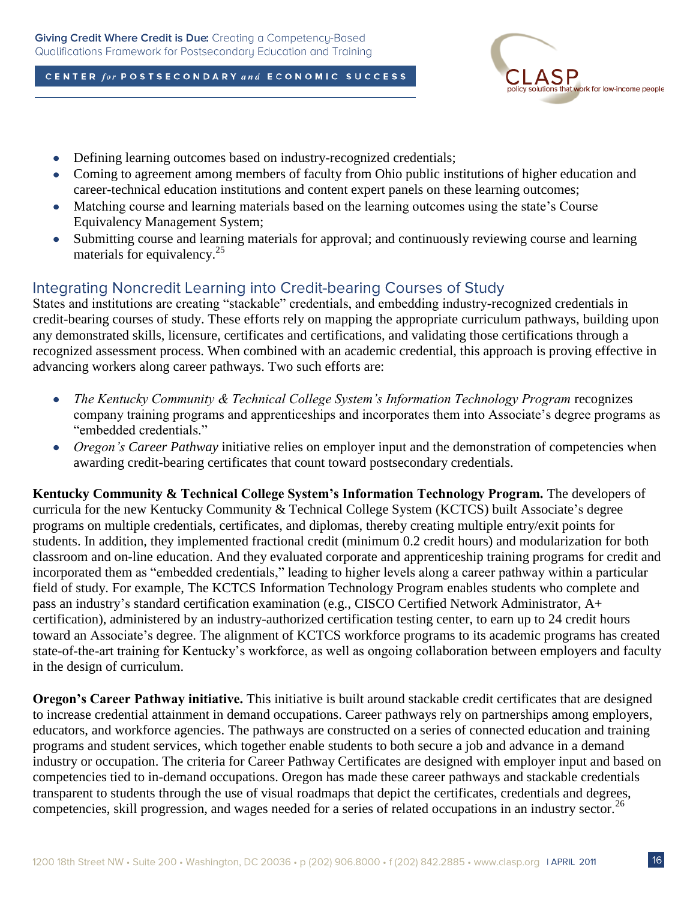

- Defining learning outcomes based on industry-recognized credentials;  $\bullet$
- Coming to agreement among members of faculty from Ohio public institutions of higher education and  $\bullet$ career-technical education institutions and content expert panels on these learning outcomes;
- Matching course and learning materials based on the learning outcomes using the state's Course  $\bullet$ Equivalency Management System;
- Submitting course and learning materials for approval; and continuously reviewing course and learning  $\bullet$ materials for equivalency.<sup>25</sup>

## Integrating Noncredit Learning into Credit-bearing Courses of Study

States and institutions are creating "stackable" credentials, and embedding industry-recognized credentials in credit-bearing courses of study. These efforts rely on mapping the appropriate curriculum pathways, building upon any demonstrated skills, licensure, certificates and certifications, and validating those certifications through a recognized assessment process. When combined with an academic credential, this approach is proving effective in advancing workers along career pathways. Two such efforts are:

- *The Kentucky Community & Technical College System's Information Technology Program* recognizes company training programs and apprenticeships and incorporates them into Associate's degree programs as "embedded credentials."
- *Oregon's Career Pathway* initiative relies on employer input and the demonstration of competencies when awarding credit-bearing certificates that count toward postsecondary credentials.

**Kentucky Community & Technical College System's Information Technology Program.** The developers of curricula for the new Kentucky Community & Technical College System (KCTCS) built Associate's degree programs on multiple credentials, certificates, and diplomas, thereby creating multiple entry/exit points for students. In addition, they implemented fractional credit (minimum 0.2 credit hours) and modularization for both classroom and on-line education. And they evaluated corporate and apprenticeship training programs for credit and incorporated them as "embedded credentials," leading to higher levels along a career pathway within a particular field of study. For example, The KCTCS Information Technology Program enables students who complete and pass an industry's standard certification examination (e.g., CISCO Certified Network Administrator, A+ certification), administered by an industry-authorized certification testing center, to earn up to 24 credit hours toward an Associate's degree. The alignment of KCTCS workforce programs to its academic programs has created state-of-the-art training for Kentucky's workforce, as well as ongoing collaboration between employers and faculty in the design of curriculum.

**Oregon's Career Pathway initiative.** This initiative is built around stackable credit certificates that are designed to increase credential attainment in demand occupations. Career pathways rely on partnerships among employers, educators, and workforce agencies. The pathways are constructed on a series of connected education and training programs and student services, which together enable students to both secure a job and advance in a demand industry or occupation. The criteria for Career Pathway Certificates are designed with employer input and based on competencies tied to in-demand occupations. Oregon has made these career pathways and stackable credentials transparent to students through the use of visual roadmaps that depict the certificates, credentials and degrees, competencies, skill progression, and wages needed for a series of related occupations in an industry sector.<sup>26</sup>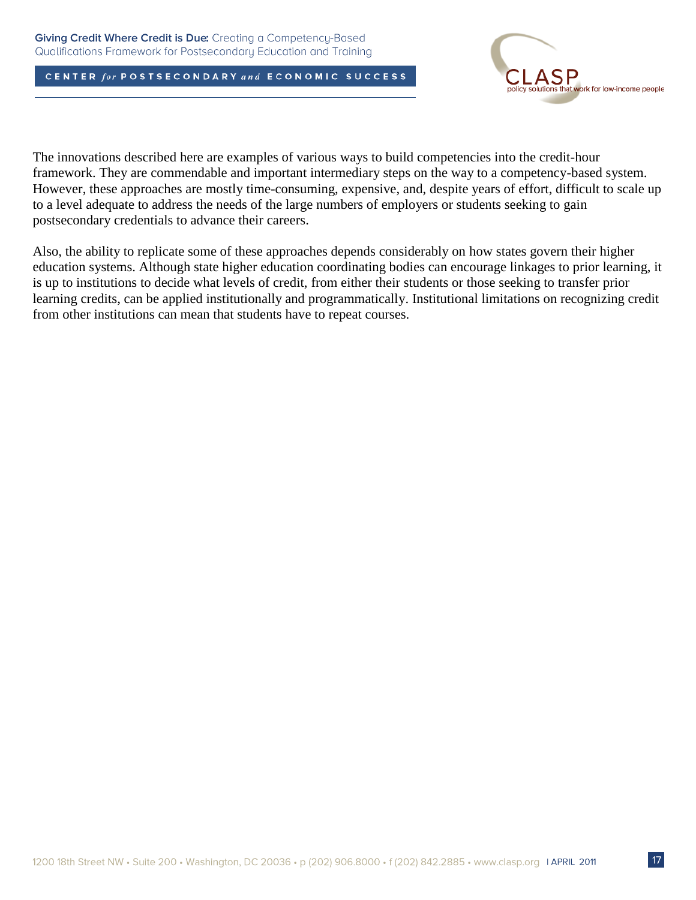

The innovations described here are examples of various ways to build competencies into the credit-hour framework. They are commendable and important intermediary steps on the way to a competency-based system. However, these approaches are mostly time-consuming, expensive, and, despite years of effort, difficult to scale up to a level adequate to address the needs of the large numbers of employers or students seeking to gain postsecondary credentials to advance their careers.

Also, the ability to replicate some of these approaches depends considerably on how states govern their higher education systems. Although state higher education coordinating bodies can encourage linkages to prior learning, it is up to institutions to decide what levels of credit, from either their students or those seeking to transfer prior learning credits, can be applied institutionally and programmatically. Institutional limitations on recognizing credit from other institutions can mean that students have to repeat courses.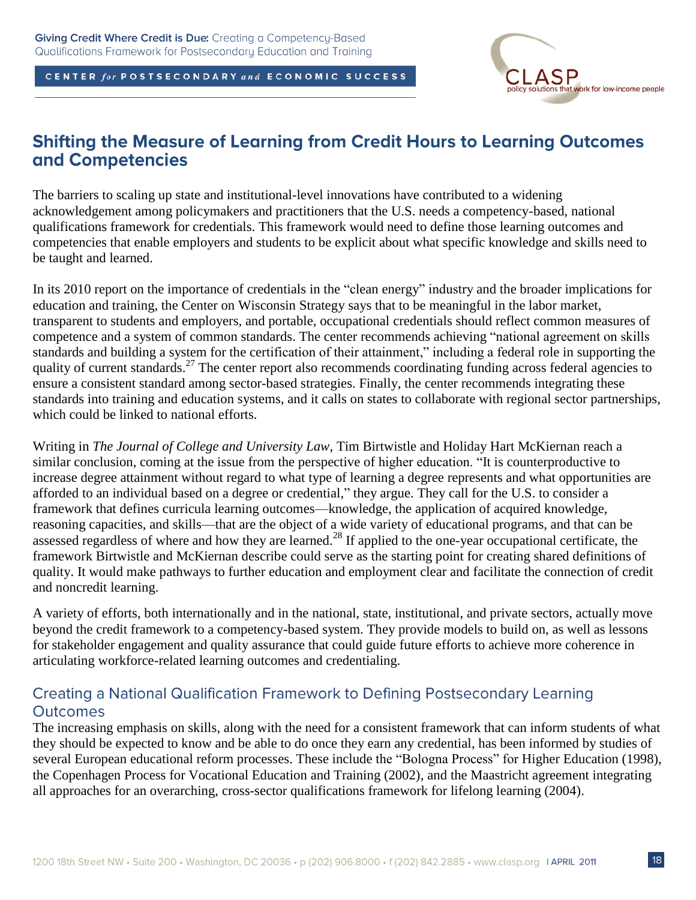

## **Shifting the Measure of Learning from Credit Hours to Learning Outcomes** and Competencies

The barriers to scaling up state and institutional-level innovations have contributed to a widening acknowledgement among policymakers and practitioners that the U.S. needs a competency-based, national qualifications framework for credentials. This framework would need to define those learning outcomes and competencies that enable employers and students to be explicit about what specific knowledge and skills need to be taught and learned.

In its 2010 report on the importance of credentials in the "clean energy" industry and the broader implications for education and training, the Center on Wisconsin Strategy says that to be meaningful in the labor market, transparent to students and employers, and portable, occupational credentials should reflect common measures of competence and a system of common standards. The center recommends achieving "national agreement on skills standards and building a system for the certification of their attainment," including a federal role in supporting the quality of current standards.<sup>27</sup> The center report also recommends coordinating funding across federal agencies to ensure a consistent standard among sector-based strategies. Finally, the center recommends integrating these standards into training and education systems, and it calls on states to collaborate with regional sector partnerships, which could be linked to national efforts.

Writing in *The Journal of College and University Law*, Tim Birtwistle and Holiday Hart McKiernan reach a similar conclusion, coming at the issue from the perspective of higher education. "It is counterproductive to increase degree attainment without regard to what type of learning a degree represents and what opportunities are afforded to an individual based on a degree or credential," they argue. They call for the U.S. to consider a framework that defines curricula learning outcomes—knowledge, the application of acquired knowledge, reasoning capacities, and skills—that are the object of a wide variety of educational programs, and that can be assessed regardless of where and how they are learned.<sup>28</sup> If applied to the one-year occupational certificate, the framework Birtwistle and McKiernan describe could serve as the starting point for creating shared definitions of quality. It would make pathways to further education and employment clear and facilitate the connection of credit and noncredit learning.

A variety of efforts, both internationally and in the national, state, institutional, and private sectors, actually move beyond the credit framework to a competency-based system. They provide models to build on, as well as lessons for stakeholder engagement and quality assurance that could guide future efforts to achieve more coherence in articulating workforce-related learning outcomes and credentialing.

## Creating a National Qualification Framework to Defining Postsecondary Learning **Outcomes**

The increasing emphasis on skills, along with the need for a consistent framework that can inform students of what they should be expected to know and be able to do once they earn any credential, has been informed by studies of several European educational reform processes. These include the "Bologna Process" for Higher Education (1998), the Copenhagen Process for Vocational Education and Training (2002), and the Maastricht agreement integrating all approaches for an overarching, cross-sector qualifications framework for lifelong learning (2004).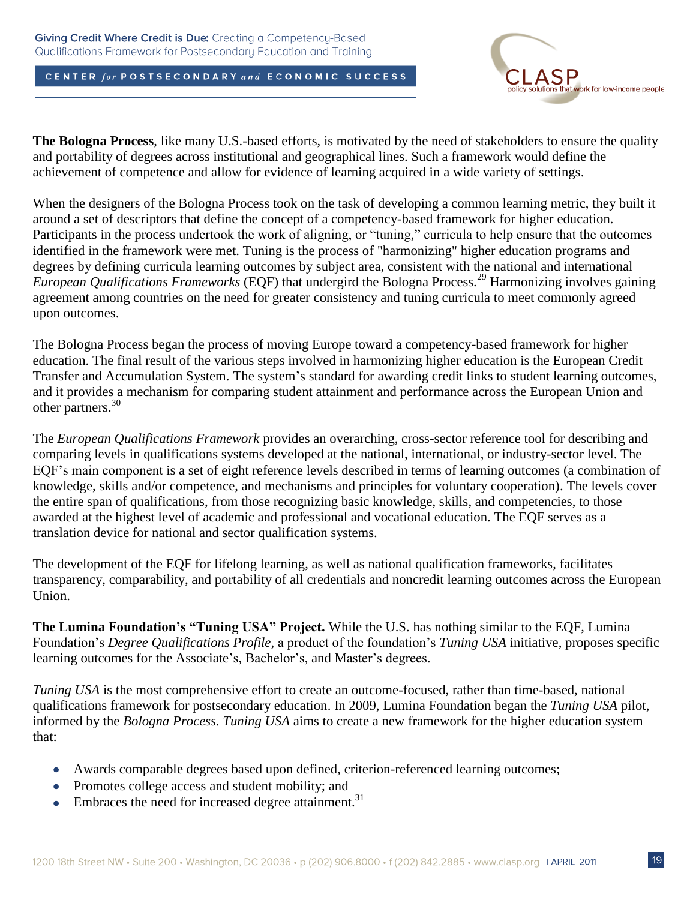

**The Bologna Process**, like many U.S.-based efforts, is motivated by the need of stakeholders to ensure the quality and portability of degrees across institutional and geographical lines. Such a framework would define the achievement of competence and allow for evidence of learning acquired in a wide variety of settings.

When the designers of the Bologna Process took on the task of developing a common learning metric, they built it around a set of descriptors that define the concept of a competency-based framework for higher education. Participants in the process undertook the work of aligning, or "tuning," curricula to help ensure that the outcomes identified in the framework were met. Tuning is the process of "harmonizing" higher education programs and degrees by defining curricula learning outcomes by subject area, consistent with the national and international *European Qualifications Frameworks* (EQF) that undergird the Bologna Process.<sup>29</sup> Harmonizing involves gaining agreement among countries on the need for greater consistency and tuning curricula to meet commonly agreed upon outcomes.

The Bologna Process began the process of moving Europe toward a competency-based framework for higher education. The final result of the various steps involved in harmonizing higher education is the European Credit Transfer and Accumulation System. The system's standard for awarding credit links to student learning outcomes, and it provides a mechanism for comparing student attainment and performance across the European Union and other partners. 30

The *European Qualifications Framework* provides an overarching, cross-sector reference tool for describing and comparing levels in qualifications systems developed at the national, international, or industry-sector level. The EQF's main component is a set of eight reference levels described in terms of learning outcomes (a combination of knowledge, skills and/or competence, and mechanisms and principles for voluntary cooperation). The levels cover the entire span of qualifications, from those recognizing basic knowledge, skills, and competencies, to those awarded at the highest level of academic and professional and vocational education. The EQF serves as a translation device for national and sector qualification systems.

The development of the EQF for lifelong learning, as well as national qualification frameworks, facilitates transparency, comparability, and portability of all credentials and noncredit learning outcomes across the European Union.

**The Lumina Foundation's "Tuning USA" Project.** While the U.S. has nothing similar to the EQF, Lumina Foundation's *Degree Qualifications Profile,* a product of the foundation's *Tuning USA* initiative, proposes specific learning outcomes for the Associate's, Bachelor's, and Master's degrees.

*Tuning USA* is the most comprehensive effort to create an outcome-focused, rather than time-based, national qualifications framework for postsecondary education. In 2009, Lumina Foundation began the *Tuning USA* pilot, informed by the *Bologna Process. Tuning USA* aims to create a new framework for the higher education system that:

- Awards comparable degrees based upon defined, criterion-referenced learning outcomes;
- Promotes college access and student mobility; and
- Embraces the need for increased degree attainment.<sup>31</sup>  $\bullet$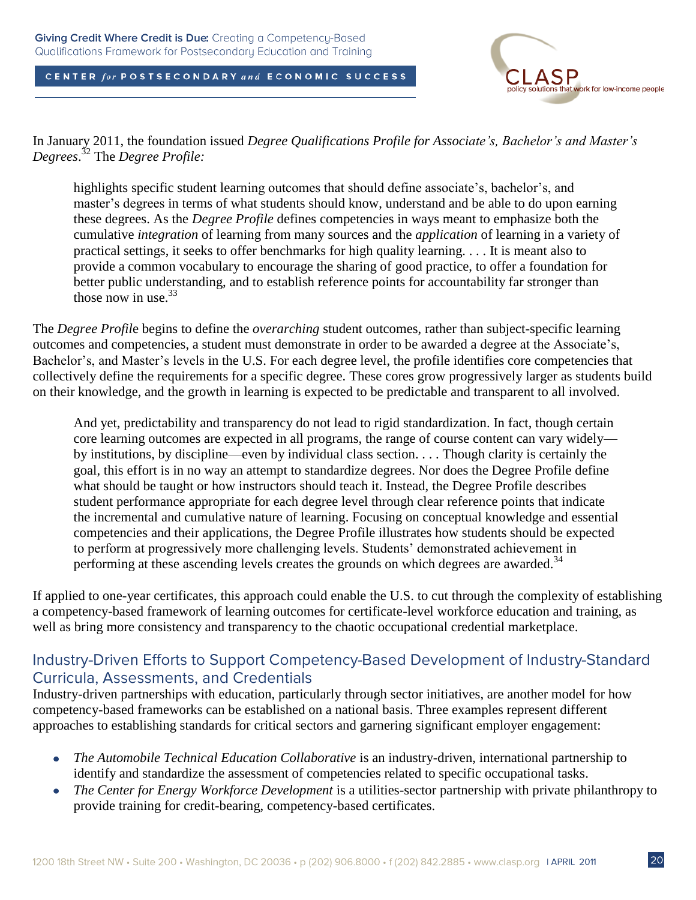

In January 2011, the foundation issued *Degree Qualifications Profile for Associate's, Bachelor's and Master's Degrees*. <sup>32</sup> The *Degree Profile:*

highlights specific student learning outcomes that should define associate's, bachelor's, and master's degrees in terms of what students should know, understand and be able to do upon earning these degrees. As the *Degree Profile* defines competencies in ways meant to emphasize both the cumulative *integration* of learning from many sources and the *application* of learning in a variety of practical settings, it seeks to offer benchmarks for high quality learning. . . . It is meant also to provide a common vocabulary to encourage the sharing of good practice, to offer a foundation for better public understanding, and to establish reference points for accountability far stronger than those now in use. 33

The *Degree Profil*e begins to define the *overarching* student outcomes, rather than subject-specific learning outcomes and competencies, a student must demonstrate in order to be awarded a degree at the Associate's, Bachelor's, and Master's levels in the U.S. For each degree level, the profile identifies core competencies that collectively define the requirements for a specific degree. These cores grow progressively larger as students build on their knowledge, and the growth in learning is expected to be predictable and transparent to all involved.

And yet, predictability and transparency do not lead to rigid standardization. In fact, though certain core learning outcomes are expected in all programs, the range of course content can vary widely by institutions, by discipline—even by individual class section. . . . Though clarity is certainly the goal, this effort is in no way an attempt to standardize degrees. Nor does the Degree Profile define what should be taught or how instructors should teach it. Instead, the Degree Profile describes student performance appropriate for each degree level through clear reference points that indicate the incremental and cumulative nature of learning. Focusing on conceptual knowledge and essential competencies and their applications, the Degree Profile illustrates how students should be expected to perform at progressively more challenging levels. Students' demonstrated achievement in performing at these ascending levels creates the grounds on which degrees are awarded.<sup>34</sup>

If applied to one-year certificates, this approach could enable the U.S. to cut through the complexity of establishing a competency-based framework of learning outcomes for certificate-level workforce education and training, as well as bring more consistency and transparency to the chaotic occupational credential marketplace.

## Industry-Driven Efforts to Support Competency-Based Development of Industry-Standard **Curricula, Assessments, and Credentials**

Industry-driven partnerships with education, particularly through sector initiatives, are another model for how competency-based frameworks can be established on a national basis. Three examples represent different approaches to establishing standards for critical sectors and garnering significant employer engagement:

- *The Automobile Technical Education Collaborative* is an industry-driven, international partnership to identify and standardize the assessment of competencies related to specific occupational tasks.
- *The Center for Energy Workforce Development* is a utilities-sector partnership with private philanthropy to  $\bullet$ provide training for credit-bearing, competency-based certificates.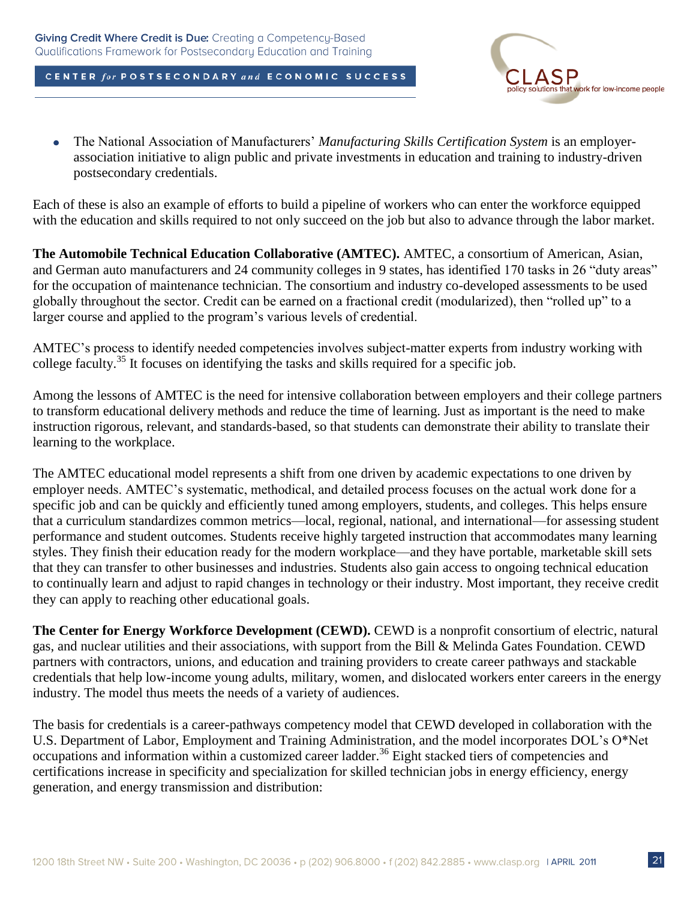

The National Association of Manufacturers' *Manufacturing Skills Certification System* is an employer- $\bullet$ association initiative to align public and private investments in education and training to industry-driven postsecondary credentials.

Each of these is also an example of efforts to build a pipeline of workers who can enter the workforce equipped with the education and skills required to not only succeed on the job but also to advance through the labor market.

**The Automobile Technical Education Collaborative (AMTEC).** AMTEC, a consortium of American, Asian, and German auto manufacturers and 24 community colleges in 9 states, has identified 170 tasks in 26 "duty areas" for the occupation of maintenance technician. The consortium and industry co-developed assessments to be used globally throughout the sector. Credit can be earned on a fractional credit (modularized), then "rolled up" to a larger course and applied to the program's various levels of credential.

AMTEC's process to identify needed competencies involves subject-matter experts from industry working with college faculty.<sup>35</sup> It focuses on identifying the tasks and skills required for a specific job.

Among the lessons of AMTEC is the need for intensive collaboration between employers and their college partners to transform educational delivery methods and reduce the time of learning. Just as important is the need to make instruction rigorous, relevant, and standards-based, so that students can demonstrate their ability to translate their learning to the workplace.

The AMTEC educational model represents a shift from one driven by academic expectations to one driven by employer needs. AMTEC's systematic, methodical, and detailed process focuses on the actual work done for a specific job and can be quickly and efficiently tuned among employers, students, and colleges. This helps ensure that a curriculum standardizes common metrics—local, regional, national, and international—for assessing student performance and student outcomes. Students receive highly targeted instruction that accommodates many learning styles. They finish their education ready for the modern workplace—and they have portable, marketable skill sets that they can transfer to other businesses and industries. Students also gain access to ongoing technical education to continually learn and adjust to rapid changes in technology or their industry. Most important, they receive credit they can apply to reaching other educational goals.

**The Center for Energy Workforce Development (CEWD).** CEWD is a nonprofit consortium of electric, natural gas, and nuclear utilities and their associations, with support from the Bill & Melinda Gates Foundation. CEWD partners with contractors, unions, and education and training providers to create career pathways and stackable credentials that help low-income young adults, military, women, and dislocated workers enter careers in the energy industry. The model thus meets the needs of a variety of audiences.

The basis for credentials is a career-pathways competency model that CEWD developed in collaboration with the U.S. Department of Labor, Employment and Training Administration, and the model incorporates DOL's O\*Net occupations and information within a customized career ladder. <sup>36</sup> Eight stacked tiers of competencies and certifications increase in specificity and specialization for skilled technician jobs in energy efficiency, energy generation, and energy transmission and distribution: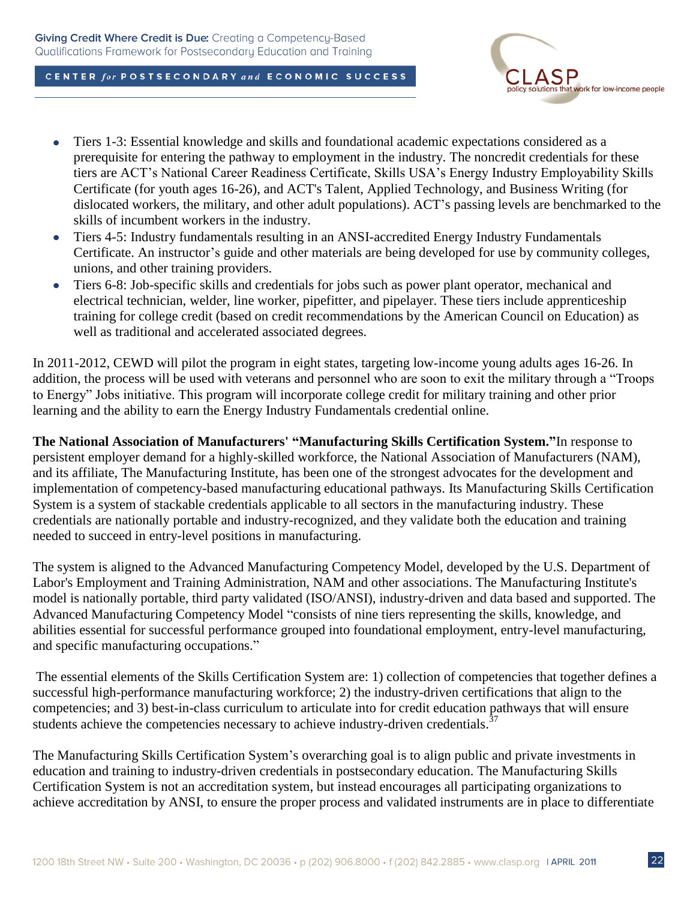

- Tiers 1-3: Essential knowledge and skills and foundational academic expectations considered as a  $\bullet$ prerequisite for entering the pathway to employment in the industry. The noncredit credentials for these tiers are ACT's National Career Readiness Certificate, Skills USA's Energy Industry Employability Skills Certificate (for youth ages 16-26), and ACT's Talent, Applied Technology, and Business Writing (for dislocated workers, the military, and other adult populations). ACT's passing levels are benchmarked to the skills of incumbent workers in the industry.
- Tiers 4-5: Industry fundamentals resulting in an ANSI-accredited Energy Industry Fundamentals  $\bullet$ Certificate. An instructor's guide and other materials are being developed for use by community colleges, unions, and other training providers.
- Tiers 6-8: Job-specific skills and credentials for jobs such as power plant operator, mechanical and  $\bullet$ electrical technician, welder, line worker, pipefitter, and pipelayer. These tiers include apprenticeship training for college credit (based on credit recommendations by the American Council on Education) as well as traditional and accelerated associated degrees.

In 2011-2012, CEWD will pilot the program in eight states, targeting low-income young adults ages 16-26. In addition, the process will be used with veterans and personnel who are soon to exit the military through a "Troops" to Energy" Jobs initiative. This program will incorporate college credit for military training and other prior learning and the ability to earn the Energy Industry Fundamentals credential online.

**The National Association of Manufacturers' "Manufacturing Skills Certification System."**In response to persistent employer demand for a highly-skilled workforce, the National Association of Manufacturers (NAM), and its affiliate, The Manufacturing Institute, has been one of the strongest advocates for the development and implementation of competency-based manufacturing educational pathways. Its Manufacturing Skills Certification System is a system of stackable credentials applicable to all sectors in the manufacturing industry. These credentials are nationally portable and industry-recognized, and they validate both the education and training needed to succeed in entry-level positions in manufacturing.

The system is aligned to the Advanced Manufacturing Competency Model, developed by the U.S. Department of Labor's Employment and Training Administration, NAM and other associations. The Manufacturing Institute's model is nationally portable, third party validated (ISO/ANSI), industry-driven and data based and supported. The Advanced Manufacturing Competency Model "consists of nine tiers representing the skills, knowledge, and abilities essential for successful performance grouped into foundational employment, entry-level manufacturing, and specific manufacturing occupations."

The essential elements of the Skills Certification System are: 1) collection of competencies that together defines a successful high-performance manufacturing workforce; 2) the industry-driven certifications that align to the competencies; and 3) best-in-class curriculum to articulate into for credit education pathways that will ensure students achieve the competencies necessary to achieve industry-driven credentials. $37$ 

The Manufacturing Skills Certification System's overarching goal is to align public and private investments in education and training to industry-driven credentials in postsecondary education. The Manufacturing Skills Certification System is not an accreditation system, but instead encourages all participating organizations to achieve accreditation by ANSI, to ensure the proper process and validated instruments are in place to differentiate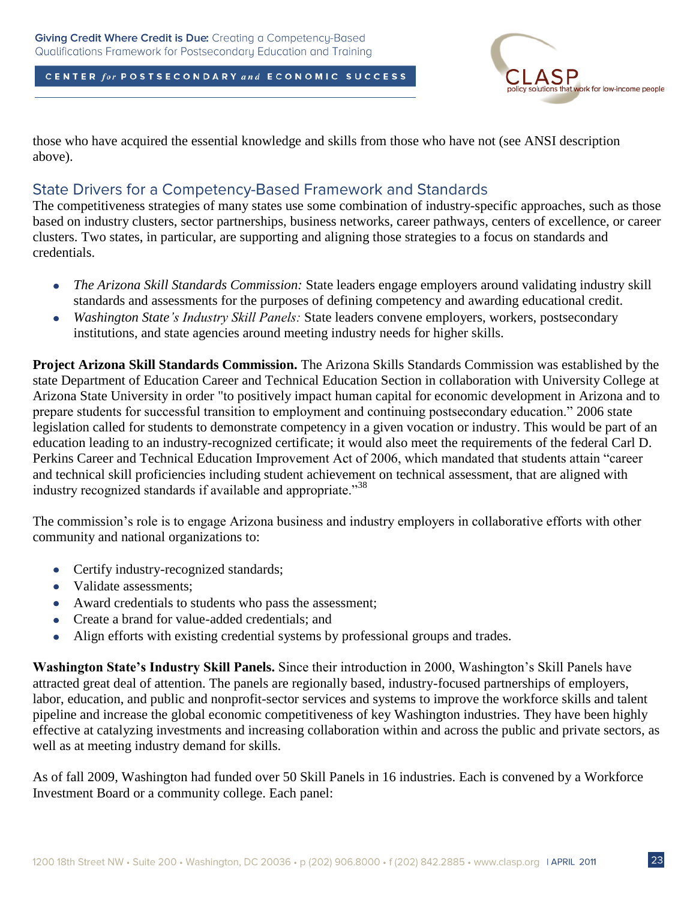

those who have acquired the essential knowledge and skills from those who have not (see ANSI description above).

### State Drivers for a Competency-Based Framework and Standards

The competitiveness strategies of many states use some combination of industry-specific approaches, such as those based on industry clusters, sector partnerships, business networks, career pathways, centers of excellence, or career clusters. Two states, in particular, are supporting and aligning those strategies to a focus on standards and credentials.

- *The Arizona Skill Standards Commission:* State leaders engage employers around validating industry skill  $\bullet$ standards and assessments for the purposes of defining competency and awarding educational credit.
- *Washington State's Industry Skill Panels:* State leaders convene employers, workers, postsecondary  $\bullet$ institutions, and state agencies around meeting industry needs for higher skills.

**Project Arizona Skill Standards Commission.** The Arizona Skills Standards Commission was established by the state Department of Education Career and Technical Education Section in collaboration with University College at Arizona State University in order "to positively impact human capital for economic development in Arizona and to prepare students for successful transition to employment and continuing postsecondary education." 2006 state legislation called for students to demonstrate competency in a given vocation or industry. This would be part of an education leading to an industry-recognized certificate; it would also meet the requirements of the federal Carl D. Perkins Career and Technical Education Improvement Act of 2006, which mandated that students attain "career and technical skill proficiencies including student achievement on technical assessment, that are aligned with industry recognized standards if available and appropriate.<sup>38</sup>

The commission's role is to engage Arizona business and industry employers in collaborative efforts with other community and national organizations to:

- Certify industry-recognized standards;
- Validate assessments;
- Award credentials to students who pass the assessment;
- Create a brand for value-added credentials; and  $\bullet$
- Align efforts with existing credential systems by professional groups and trades.  $\bullet$

**Washington State's Industry Skill Panels.** Since their introduction in 2000, Washington's Skill Panels have attracted great deal of attention. The panels are regionally based, industry-focused partnerships of employers, labor, education, and public and nonprofit-sector services and systems to improve the workforce skills and talent pipeline and increase the global economic competitiveness of key Washington industries. They have been highly effective at catalyzing investments and increasing collaboration within and across the public and private sectors, as well as at meeting industry demand for skills.

As of fall 2009, Washington had funded over 50 Skill Panels in 16 industries. Each is convened by a Workforce Investment Board or a community college. Each panel: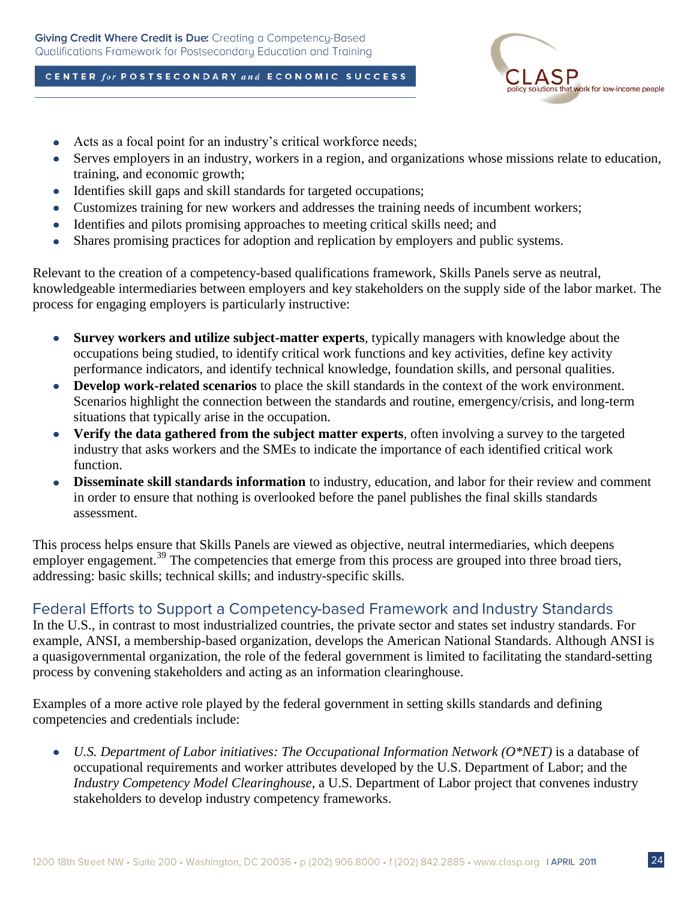

- Acts as a focal point for an industry's critical workforce needs;
- Serves employers in an industry, workers in a region, and organizations whose missions relate to education,  $\bullet$ training, and economic growth;
- Identifies skill gaps and skill standards for targeted occupations;  $\bullet$
- Customizes training for new workers and addresses the training needs of incumbent workers;  $\bullet$
- Identifies and pilots promising approaches to meeting critical skills need; and  $\bullet$
- Shares promising practices for adoption and replication by employers and public systems.  $\bullet$

Relevant to the creation of a competency-based qualifications framework, Skills Panels serve as neutral, knowledgeable intermediaries between employers and key stakeholders on the supply side of the labor market. The process for engaging employers is particularly instructive:

- **Survey workers and utilize subject-matter experts***,* typically managers with knowledge about the  $\bullet$ occupations being studied, to identify critical work functions and key activities, define key activity performance indicators, and identify technical knowledge, foundation skills, and personal qualities.
- **Develop work-related scenarios** to place the skill standards in the context of the work environment.  $\bullet$ Scenarios highlight the connection between the standards and routine, emergency/crisis, and long-term situations that typically arise in the occupation.
- **Verify the data gathered from the subject matter experts**, often involving a survey to the targeted  $\bullet$ industry that asks workers and the SMEs to indicate the importance of each identified critical work function.
- **Disseminate skill standards information** to industry, education, and labor for their review and comment  $\bullet$ in order to ensure that nothing is overlooked before the panel publishes the final skills standards assessment.

This process helps ensure that Skills Panels are viewed as objective, neutral intermediaries, which deepens employer engagement.<sup>39</sup> The competencies that emerge from this process are grouped into three broad tiers, addressing: basic skills; technical skills; and industry-specific skills.

## Federal Efforts to Support a Competency-based Framework and Industry Standards

In the U.S., in contrast to most industrialized countries, the private sector and states set industry standards. For example, ANSI, a membership-based organization, develops the American National Standards. Although ANSI is a quasigovernmental organization, the role of the federal government is limited to facilitating the standard-setting process by convening stakeholders and acting as an information clearinghouse.

Examples of a more active role played by the federal government in setting skills standards and defining competencies and credentials include:

*U.S. Department of Labor initiatives: The Occupational Information Network (O\*NET)* is a database of  $\bullet$ occupational requirements and worker attributes developed by the U.S. Department of Labor; and the *Industry Competency Model Clearinghouse*, a U.S. Department of Labor project that convenes industry stakeholders to develop industry competency frameworks.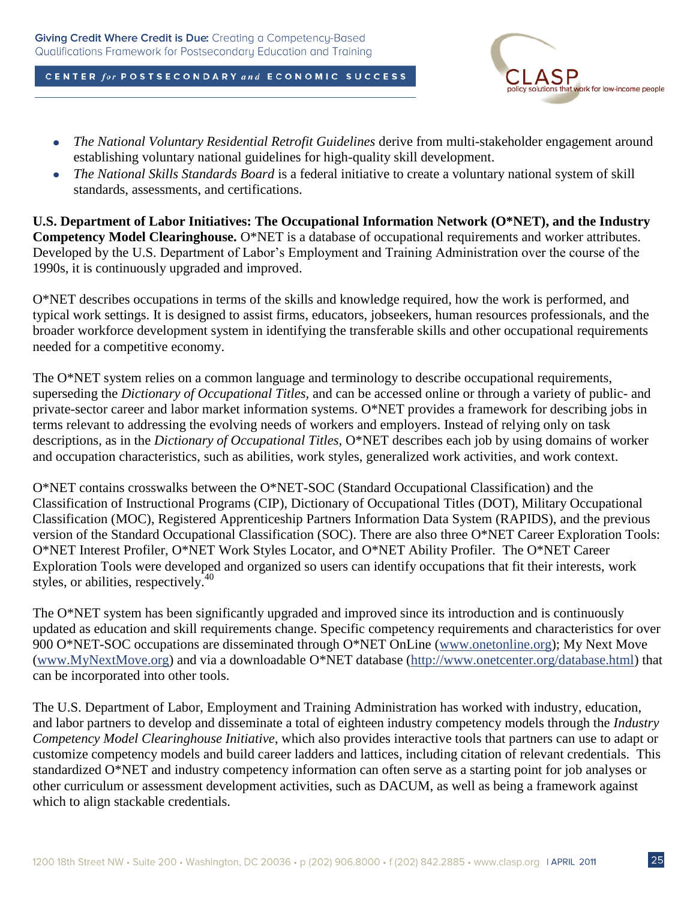

- *The National Voluntary Residential Retrofit Guidelines* derive from multi-stakeholder engagement around  $\bullet$ establishing voluntary national guidelines for high-quality skill development.
- *The National Skills Standards Board* is a federal initiative to create a voluntary national system of skill  $\bullet$ standards, assessments, and certifications.

**U.S. Department of Labor Initiatives: The Occupational Information Network (O\*NET), and the Industry Competency Model Clearinghouse.** O\*NET is a database of occupational requirements and worker attributes. Developed by the U.S. Department of Labor's Employment and Training Administration over the course of the 1990s, it is continuously upgraded and improved.

O\*NET describes occupations in terms of the skills and knowledge required, how the work is performed, and typical work settings. It is designed to assist firms, educators, jobseekers, human resources professionals, and the broader workforce development system in identifying the transferable skills and other occupational requirements needed for a competitive economy.

The O\*NET system relies on a common language and terminology to describe occupational requirements, superseding the *Dictionary of Occupational Titles,* and can be accessed online or through a variety of public- and private-sector career and labor market information systems. O\*NET provides a framework for describing jobs in terms relevant to addressing the evolving needs of workers and employers. Instead of relying only on task descriptions, as in the *Dictionary of Occupational Titles,* O\*NET describes each job by using domains of worker and occupation characteristics, such as abilities, work styles, generalized work activities, and work context.

O\*NET contains crosswalks between the O\*NET-SOC (Standard Occupational Classification) and the Classification of Instructional Programs (CIP), Dictionary of Occupational Titles (DOT), Military Occupational Classification (MOC), Registered Apprenticeship Partners Information Data System (RAPIDS), and the previous version of the Standard Occupational Classification (SOC). There are also three O\*NET Career Exploration Tools: O\*NET Interest Profiler, O\*NET Work Styles Locator, and O\*NET Ability Profiler. The O\*NET Career Exploration Tools were developed and organized so users can identify occupations that fit their interests, work styles, or abilities, respectively. $40^{\circ}$ 

The O\*NET system has been significantly upgraded and improved since its introduction and is continuously updated as education and skill requirements change. Specific competency requirements and characteristics for over 900 O\*NET-SOC occupations are disseminated through O\*NET OnLine [\(www.onetonline.org\)](http://www.onetonline.org/); My Next Move [\(www.MyNextMove.org\)](http://www.mynextmove.org/) and via a downloadable O\*NET database [\(http://www.onetcenter.org/database.html\)](http://www.onetcenter.org/database.html) that can be incorporated into other tools.

The U.S. Department of Labor, Employment and Training Administration has worked with industry, education, and labor partners to develop and disseminate a total of eighteen industry competency models through the *Industry Competency Model Clearinghouse Initiative*, which also provides interactive tools that partners can use to adapt or customize competency models and build career ladders and lattices, including citation of relevant credentials. This standardized O\*NET and industry competency information can often serve as a starting point for job analyses or other curriculum or assessment development activities, such as DACUM, as well as being a framework against which to align stackable credentials.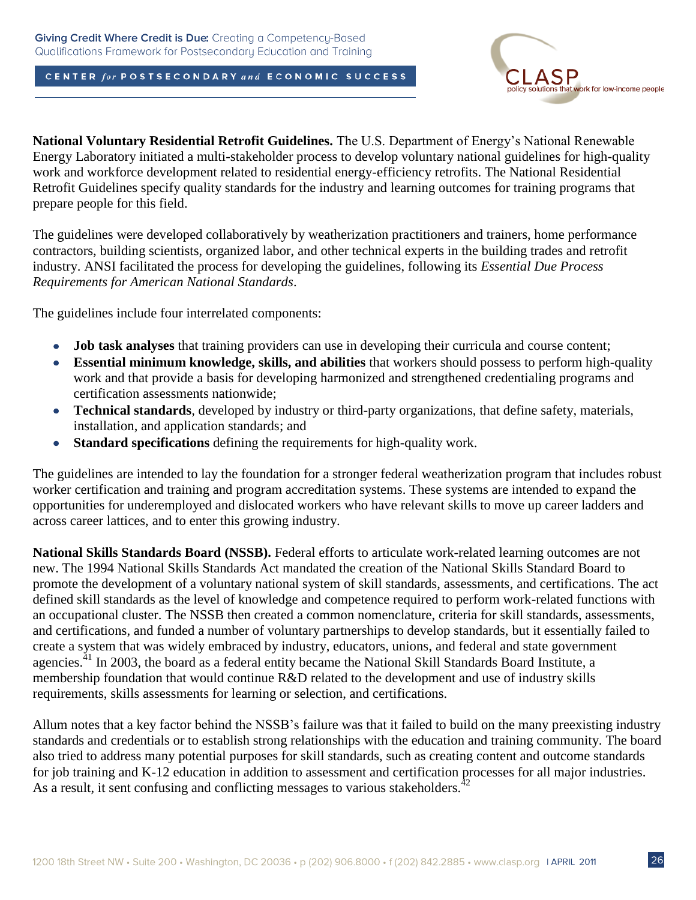

**National Voluntary Residential Retrofit Guidelines.** The U.S. Department of Energy's National Renewable Energy Laboratory initiated a multi-stakeholder process to develop voluntary national guidelines for high-quality work and workforce development related to residential energy-efficiency retrofits. The National Residential Retrofit Guidelines specify quality standards for the industry and learning outcomes for training programs that prepare people for this field.

The guidelines were developed collaboratively by weatherization practitioners and trainers, home performance contractors, building scientists, organized labor, and other technical experts in the building trades and retrofit industry. ANSI facilitated the process for developing the guidelines, following its *Essential Due Process Requirements for American National Standards*.

The guidelines include four interrelated components:

- $\bullet$ **Job task analyses** that training providers can use in developing their curricula and course content;
- **Essential minimum knowledge, skills, and abilities** that workers should possess to perform high-quality  $\bullet$ work and that provide a basis for developing harmonized and strengthened credentialing programs and certification assessments nationwide;
- **Technical standards***,* developed by industry or third-party organizations, that define safety, materials,  $\bullet$ installation, and application standards; and
- **Standard specifications** defining the requirements for high-quality work.  $\bullet$

The guidelines are intended to lay the foundation for a stronger federal weatherization program that includes robust worker certification and training and program accreditation systems. These systems are intended to expand the opportunities for underemployed and dislocated workers who have relevant skills to move up career ladders and across career lattices, and to enter this growing industry.

**National Skills Standards Board (NSSB).** Federal efforts to articulate work-related learning outcomes are not new. The 1994 National Skills Standards Act mandated the creation of the National Skills Standard Board to promote the development of a voluntary national system of skill standards, assessments, and certifications. The act defined skill standards as the level of knowledge and competence required to perform work-related functions with an occupational cluster. The NSSB then created a common nomenclature, criteria for skill standards, assessments, and certifications, and funded a number of voluntary partnerships to develop standards, but it essentially failed to create a system that was widely embraced by industry, educators, unions, and federal and state government agencies.<sup>41</sup> In 2003, the board as a federal entity became the National Skill Standards Board Institute, a membership foundation that would continue R&D related to the development and use of industry skills requirements, skills assessments for learning or selection, and certifications.

Allum notes that a key factor behind the NSSB's failure was that it failed to build on the many preexisting industry standards and credentials or to establish strong relationships with the education and training community. The board also tried to address many potential purposes for skill standards, such as creating content and outcome standards for job training and K-12 education in addition to assessment and certification processes for all major industries. As a result, it sent confusing and conflicting messages to various stakeholders.<sup>42</sup>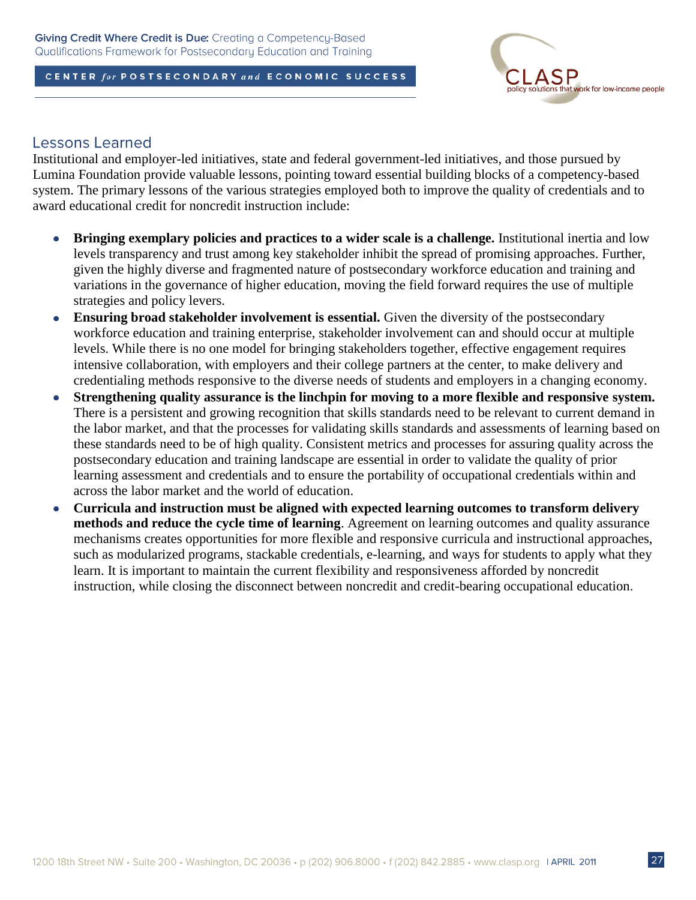

### **Lessons Learned**

Institutional and employer-led initiatives, state and federal government-led initiatives, and those pursued by Lumina Foundation provide valuable lessons, pointing toward essential building blocks of a competency-based system. The primary lessons of the various strategies employed both to improve the quality of credentials and to award educational credit for noncredit instruction include:

- **Bringing exemplary policies and practices to a wider scale is a challenge.** Institutional inertia and low  $\bullet$ levels transparency and trust among key stakeholder inhibit the spread of promising approaches. Further, given the highly diverse and fragmented nature of postsecondary workforce education and training and variations in the governance of higher education, moving the field forward requires the use of multiple strategies and policy levers.
- **Ensuring broad stakeholder involvement is essential.** Given the diversity of the postsecondary  $\bullet$ workforce education and training enterprise, stakeholder involvement can and should occur at multiple levels. While there is no one model for bringing stakeholders together, effective engagement requires intensive collaboration, with employers and their college partners at the center, to make delivery and credentialing methods responsive to the diverse needs of students and employers in a changing economy.
- **Strengthening quality assurance is the linchpin for moving to a more flexible and responsive system.**  $\bullet$ There is a persistent and growing recognition that skills standards need to be relevant to current demand in the labor market, and that the processes for validating skills standards and assessments of learning based on these standards need to be of high quality. Consistent metrics and processes for assuring quality across the postsecondary education and training landscape are essential in order to validate the quality of prior learning assessment and credentials and to ensure the portability of occupational credentials within and across the labor market and the world of education.
- **Curricula and instruction must be aligned with expected learning outcomes to transform delivery**   $\bullet$ **methods and reduce the cycle time of learning**. Agreement on learning outcomes and quality assurance mechanisms creates opportunities for more flexible and responsive curricula and instructional approaches, such as modularized programs, stackable credentials, e-learning, and ways for students to apply what they learn. It is important to maintain the current flexibility and responsiveness afforded by noncredit instruction, while closing the disconnect between noncredit and credit-bearing occupational education.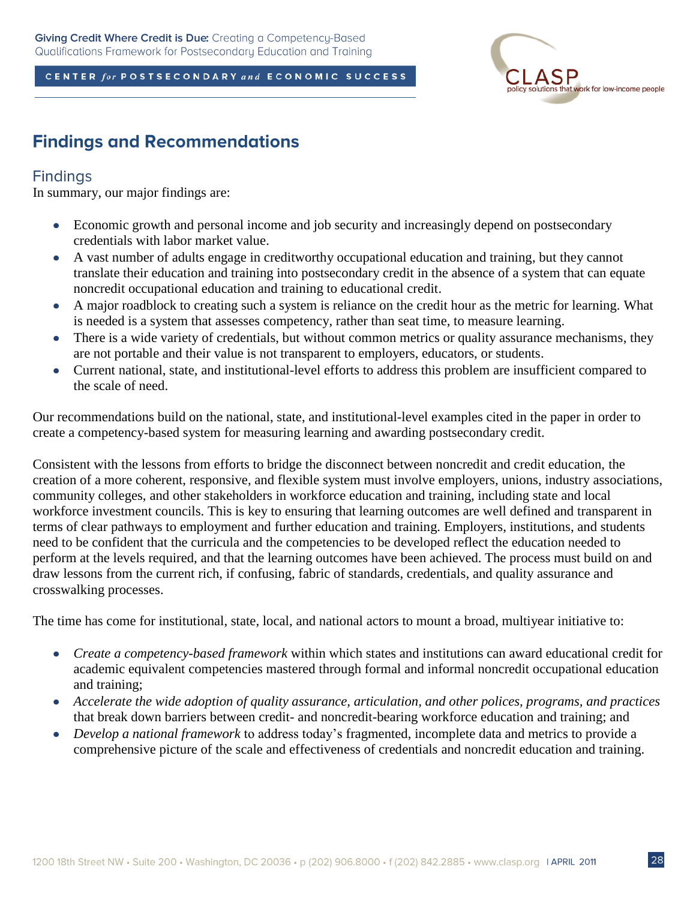

## **Findings and Recommendations**

### **Findings**

In summary, our major findings are:

- Economic growth and personal income and job security and increasingly depend on postsecondary  $\bullet$ credentials with labor market value.
- A vast number of adults engage in creditworthy occupational education and training, but they cannot translate their education and training into postsecondary credit in the absence of a system that can equate noncredit occupational education and training to educational credit.
- A major roadblock to creating such a system is reliance on the credit hour as the metric for learning. What  $\bullet$ is needed is a system that assesses competency, rather than seat time, to measure learning.
- There is a wide variety of credentials, but without common metrics or quality assurance mechanisms, they  $\bullet$ are not portable and their value is not transparent to employers, educators, or students.
- Current national, state, and institutional-level efforts to address this problem are insufficient compared to  $\bullet$ the scale of need.

Our recommendations build on the national, state, and institutional-level examples cited in the paper in order to create a competency-based system for measuring learning and awarding postsecondary credit.

Consistent with the lessons from efforts to bridge the disconnect between noncredit and credit education, the creation of a more coherent, responsive, and flexible system must involve employers, unions, industry associations, community colleges, and other stakeholders in workforce education and training, including state and local workforce investment councils. This is key to ensuring that learning outcomes are well defined and transparent in terms of clear pathways to employment and further education and training. Employers, institutions, and students need to be confident that the curricula and the competencies to be developed reflect the education needed to perform at the levels required, and that the learning outcomes have been achieved. The process must build on and draw lessons from the current rich, if confusing, fabric of standards, credentials, and quality assurance and crosswalking processes.

The time has come for institutional, state, local, and national actors to mount a broad, multiyear initiative to:

- *Create a competency-based framework* within which states and institutions can award educational credit for academic equivalent competencies mastered through formal and informal noncredit occupational education and training;
- *Accelerate the wide adoption of quality assurance, articulation, and other polices, programs, and practices*  $\bullet$ that break down barriers between credit- and noncredit-bearing workforce education and training; and
- *Develop a national framework* to address today's fragmented, incomplete data and metrics to provide a  $\bullet$ comprehensive picture of the scale and effectiveness of credentials and noncredit education and training.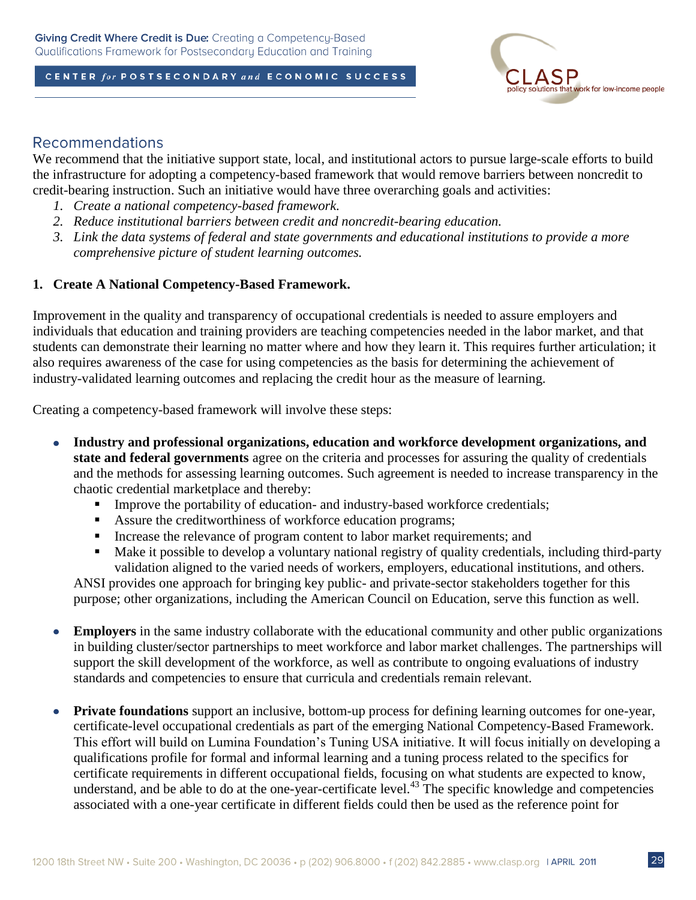

## **Recommendations**

We recommend that the initiative support state, local, and institutional actors to pursue large-scale efforts to build the infrastructure for adopting a competency-based framework that would remove barriers between noncredit to credit-bearing instruction. Such an initiative would have three overarching goals and activities:

- *1. Create a national competency-based framework.*
- *2. Reduce institutional barriers between credit and noncredit-bearing education.*
- *3. Link the data systems of federal and state governments and educational institutions to provide a more comprehensive picture of student learning outcomes.*

### **1. Create A National Competency-Based Framework.**

Improvement in the quality and transparency of occupational credentials is needed to assure employers and individuals that education and training providers are teaching competencies needed in the labor market, and that students can demonstrate their learning no matter where and how they learn it. This requires further articulation; it also requires awareness of the case for using competencies as the basis for determining the achievement of industry-validated learning outcomes and replacing the credit hour as the measure of learning.

Creating a competency-based framework will involve these steps:

- $\bullet$ **Industry and professional organizations, education and workforce development organizations, and state and federal governments** agree on the criteria and processes for assuring the quality of credentials and the methods for assessing learning outcomes. Such agreement is needed to increase transparency in the chaotic credential marketplace and thereby:
	- **Improve the portability of education- and industry-based workforce credentials;**
	- Assure the creditworthiness of workforce education programs;
	- Increase the relevance of program content to labor market requirements; and
	- Make it possible to develop a voluntary national registry of quality credentials, including third-party validation aligned to the varied needs of workers, employers, educational institutions, and others.

ANSI provides one approach for bringing key public- and private-sector stakeholders together for this purpose; other organizations, including the American Council on Education, serve this function as well.

- **Employers** in the same industry collaborate with the educational community and other public organizations  $\bullet$ in building cluster/sector partnerships to meet workforce and labor market challenges. The partnerships will support the skill development of the workforce, as well as contribute to ongoing evaluations of industry standards and competencies to ensure that curricula and credentials remain relevant.
- **Private foundations** support an inclusive, bottom-up process for defining learning outcomes for one-year,  $\bullet$ certificate-level occupational credentials as part of the emerging National Competency-Based Framework. This effort will build on Lumina Foundation's Tuning USA initiative. It will focus initially on developing a qualifications profile for formal and informal learning and a tuning process related to the specifics for certificate requirements in different occupational fields, focusing on what students are expected to know, understand, and be able to do at the one-year-certificate level.<sup>43</sup> The specific knowledge and competencies associated with a one-year certificate in different fields could then be used as the reference point for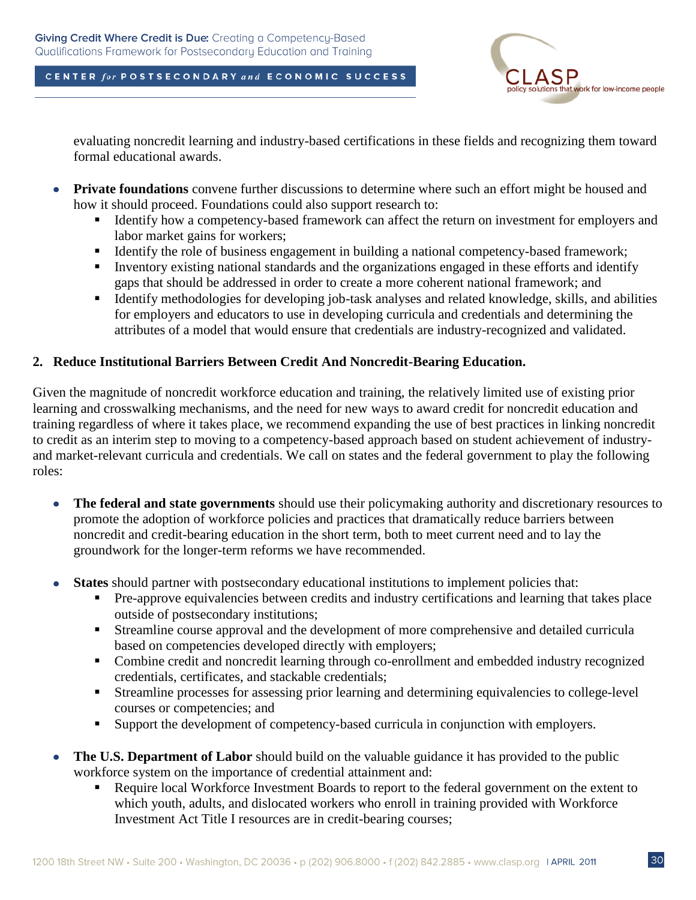

evaluating noncredit learning and industry-based certifications in these fields and recognizing them toward formal educational awards.

- **Private foundations** convene further discussions to determine where such an effort might be housed and  $\bullet$ how it should proceed. Foundations could also support research to:
	- Identify how a competency-based framework can affect the return on investment for employers and labor market gains for workers;
	- Identify the role of business engagement in building a national competency-based framework;
	- Inventory existing national standards and the organizations engaged in these efforts and identify gaps that should be addressed in order to create a more coherent national framework; and
	- Identify methodologies for developing job-task analyses and related knowledge, skills, and abilities for employers and educators to use in developing curricula and credentials and determining the attributes of a model that would ensure that credentials are industry-recognized and validated.

### **2. Reduce Institutional Barriers Between Credit And Noncredit-Bearing Education.**

Given the magnitude of noncredit workforce education and training, the relatively limited use of existing prior learning and crosswalking mechanisms, and the need for new ways to award credit for noncredit education and training regardless of where it takes place, we recommend expanding the use of best practices in linking noncredit to credit as an interim step to moving to a competency-based approach based on student achievement of industryand market-relevant curricula and credentials. We call on states and the federal government to play the following roles:

- **The federal and state governments** should use their policymaking authority and discretionary resources to  $\bullet$ promote the adoption of workforce policies and practices that dramatically reduce barriers between noncredit and credit-bearing education in the short term, both to meet current need and to lay the groundwork for the longer-term reforms we have recommended.
- **States** should partner with postsecondary educational institutions to implement policies that:
	- **Pre-approve equivalencies between credits and industry certifications and learning that takes place** outside of postsecondary institutions;
	- Streamline course approval and the development of more comprehensive and detailed curricula based on competencies developed directly with employers;
	- Combine credit and noncredit learning through co-enrollment and embedded industry recognized credentials, certificates, and stackable credentials;
	- Streamline processes for assessing prior learning and determining equivalencies to college-level courses or competencies; and
	- Support the development of competency-based curricula in conjunction with employers.
- **The U.S. Department of Labor** should build on the valuable guidance it has provided to the public  $\bullet$ workforce system on the importance of credential attainment and:
	- Require local Workforce Investment Boards to report to the federal government on the extent to which youth, adults, and dislocated workers who enroll in training provided with Workforce Investment Act Title I resources are in credit-bearing courses;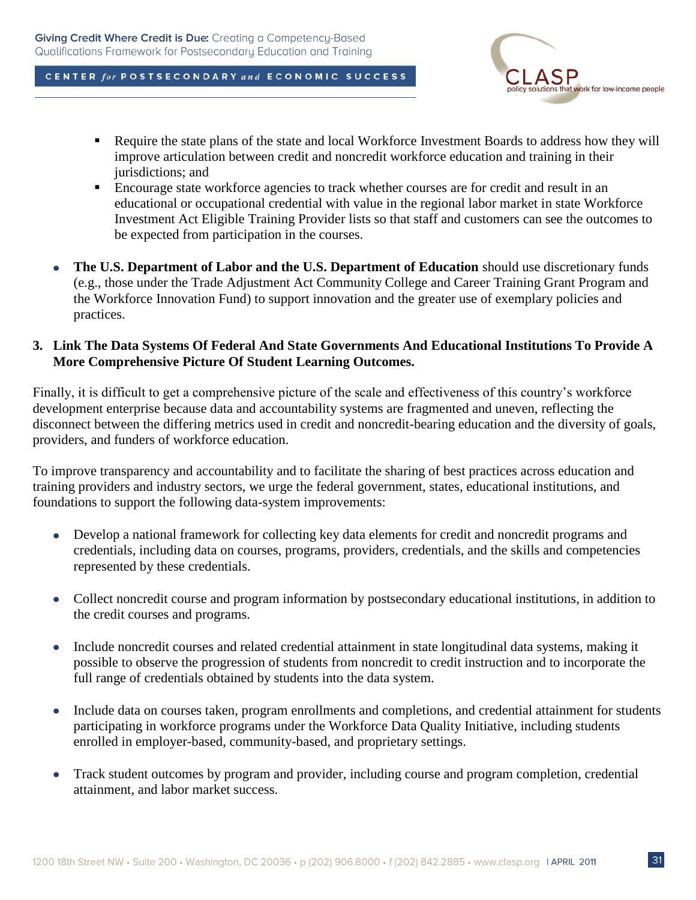

- Require the state plans of the state and local Workforce Investment Boards to address how they will improve articulation between credit and noncredit workforce education and training in their jurisdictions; and
- Encourage state workforce agencies to track whether courses are for credit and result in an educational or occupational credential with value in the regional labor market in state Workforce Investment Act Eligible Training Provider lists so that staff and customers can see the outcomes to be expected from participation in the courses.
- $\bullet$ **The U.S. Department of Labor and the U.S. Department of Education** should use discretionary funds (e.g., those under the Trade Adjustment Act Community College and Career Training Grant Program and the Workforce Innovation Fund) to support innovation and the greater use of exemplary policies and practices.

### **3. Link The Data Systems Of Federal And State Governments And Educational Institutions To Provide A More Comprehensive Picture Of Student Learning Outcomes.**

Finally, it is difficult to get a comprehensive picture of the scale and effectiveness of this country's workforce development enterprise because data and accountability systems are fragmented and uneven, reflecting the disconnect between the differing metrics used in credit and noncredit-bearing education and the diversity of goals, providers, and funders of workforce education.

To improve transparency and accountability and to facilitate the sharing of best practices across education and training providers and industry sectors, we urge the federal government, states, educational institutions, and foundations to support the following data-system improvements:

- Develop a national framework for collecting key data elements for credit and noncredit programs and  $\bullet$ credentials, including data on courses, programs, providers, credentials, and the skills and competencies represented by these credentials.
- Collect noncredit course and program information by postsecondary educational institutions, in addition to  $\bullet$ the credit courses and programs.
- $\bullet$ Include noncredit courses and related credential attainment in state longitudinal data systems, making it possible to observe the progression of students from noncredit to credit instruction and to incorporate the full range of credentials obtained by students into the data system.
- $\bullet$ Include data on courses taken, program enrollments and completions, and credential attainment for students participating in workforce programs under the Workforce Data Quality Initiative, including students enrolled in employer-based, community-based, and proprietary settings.
- Track student outcomes by program and provider, including course and program completion, credential  $\bullet$ attainment, and labor market success.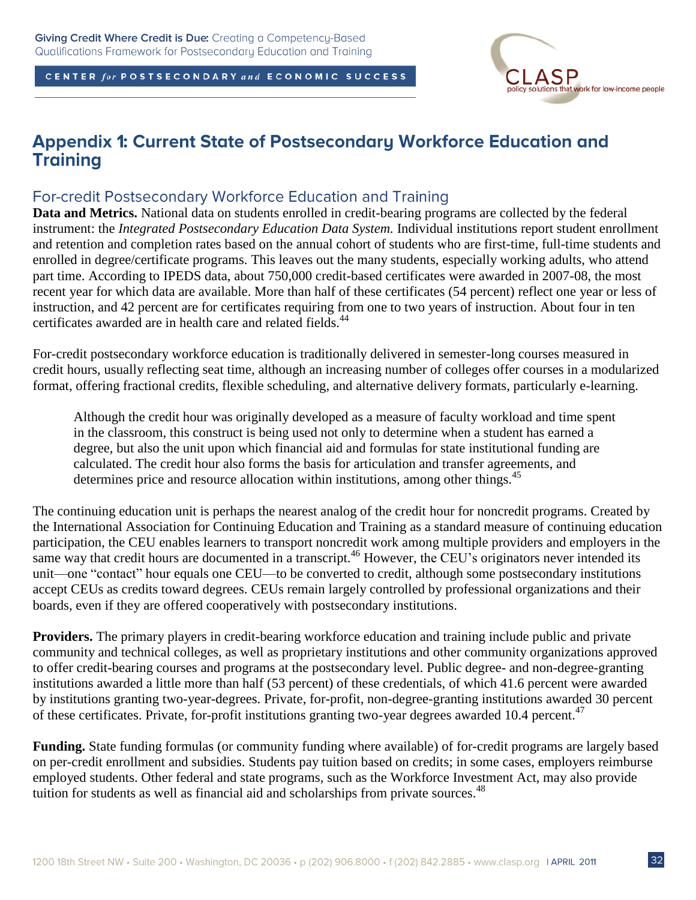

## **Appendix 1: Current State of Postsecondary Workforce Education and Training**

## For-credit Postsecondary Workforce Education and Training

**Data and Metrics.** National data on students enrolled in credit-bearing programs are collected by the federal instrument: the *Integrated Postsecondary Education Data System.* Individual institutions report student enrollment and retention and completion rates based on the annual cohort of students who are first-time, full-time students and enrolled in degree/certificate programs. This leaves out the many students, especially working adults, who attend part time. According to IPEDS data, about 750,000 credit-based certificates were awarded in 2007-08, the most recent year for which data are available. More than half of these certificates (54 percent) reflect one year or less of instruction, and 42 percent are for certificates requiring from one to two years of instruction. About four in ten certificates awarded are in health care and related fields.<sup>44</sup>

For-credit postsecondary workforce education is traditionally delivered in semester-long courses measured in credit hours, usually reflecting seat time, although an increasing number of colleges offer courses in a modularized format, offering fractional credits, flexible scheduling, and alternative delivery formats, particularly e-learning.

Although the credit hour was originally developed as a measure of faculty workload and time spent in the classroom, this construct is being used not only to determine when a student has earned a degree, but also the unit upon which financial aid and formulas for state institutional funding are calculated. The credit hour also forms the basis for articulation and transfer agreements, and determines price and resource allocation within institutions, among other things.<sup>45</sup>

The continuing education unit is perhaps the nearest analog of the credit hour for noncredit programs. Created by the International Association for Continuing Education and Training as a standard measure of continuing education participation, the CEU enables learners to transport noncredit work among multiple providers and employers in the same way that credit hours are documented in a transcript.<sup>46</sup> However, the CEU's originators never intended its unit—one "contact" hour equals one CEU—to be converted to credit, although some postsecondary institutions accept CEUs as credits toward degrees. CEUs remain largely controlled by professional organizations and their boards, even if they are offered cooperatively with postsecondary institutions.

**Providers.** The primary players in credit-bearing workforce education and training include public and private community and technical colleges, as well as proprietary institutions and other community organizations approved to offer credit-bearing courses and programs at the postsecondary level. Public degree- and non-degree-granting institutions awarded a little more than half (53 percent) of these credentials, of which 41.6 percent were awarded by institutions granting two-year-degrees. Private, for-profit, non-degree-granting institutions awarded 30 percent of these certificates. Private, for-profit institutions granting two-year degrees awarded 10.4 percent.<sup>47</sup>

**Funding.** State funding formulas (or community funding where available) of for-credit programs are largely based on per-credit enrollment and subsidies. Students pay tuition based on credits; in some cases, employers reimburse employed students. Other federal and state programs, such as the Workforce Investment Act, may also provide tuition for students as well as financial aid and scholarships from private sources.<sup>48</sup>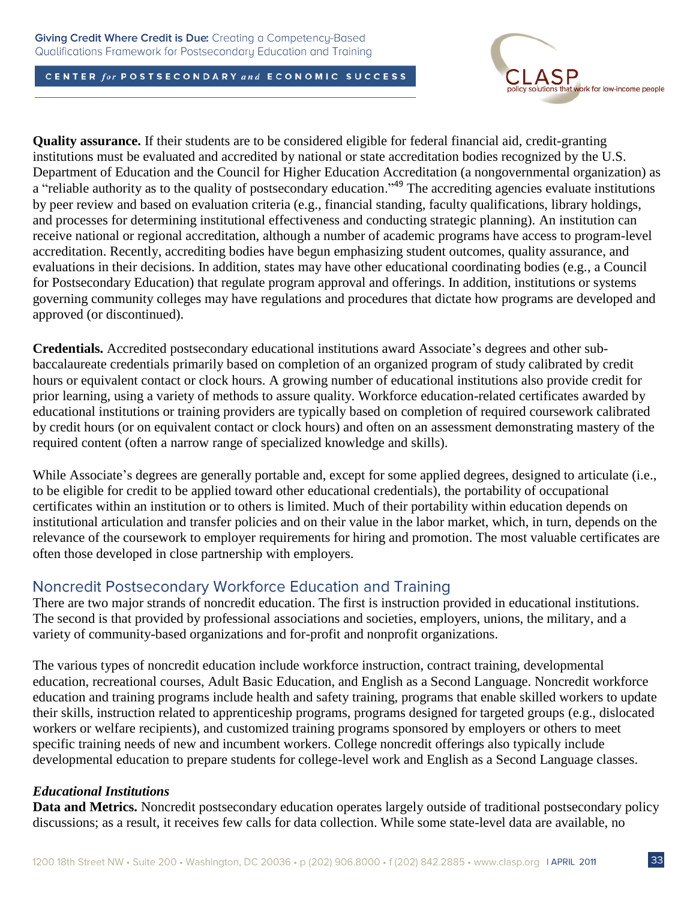

**Quality assurance.** If their students are to be considered eligible for federal financial aid, credit-granting institutions must be evaluated and accredited by national or state accreditation bodies recognized by the U.S. Department of Education and the Council for Higher Education Accreditation (a nongovernmental organization) as a "reliable authority as to the quality of postsecondary education."<sup>49</sup> The accrediting agencies evaluate institutions by peer review and based on evaluation criteria (e.g., financial standing, faculty qualifications, library holdings, and processes for determining institutional effectiveness and conducting strategic planning). An institution can receive national or regional accreditation, although a number of academic programs have access to program-level accreditation. Recently, accrediting bodies have begun emphasizing student outcomes, quality assurance, and evaluations in their decisions. In addition, states may have other educational coordinating bodies (e.g., a Council for Postsecondary Education) that regulate program approval and offerings. In addition, institutions or systems governing community colleges may have regulations and procedures that dictate how programs are developed and approved (or discontinued).

**Credentials.** Accredited postsecondary educational institutions award Associate's degrees and other subbaccalaureate credentials primarily based on completion of an organized program of study calibrated by credit hours or equivalent contact or clock hours. A growing number of educational institutions also provide credit for prior learning, using a variety of methods to assure quality. Workforce education-related certificates awarded by educational institutions or training providers are typically based on completion of required coursework calibrated by credit hours (or on equivalent contact or clock hours) and often on an assessment demonstrating mastery of the required content (often a narrow range of specialized knowledge and skills).

While Associate's degrees are generally portable and, except for some applied degrees, designed to articulate (i.e., to be eligible for credit to be applied toward other educational credentials), the portability of occupational certificates within an institution or to others is limited. Much of their portability within education depends on institutional articulation and transfer policies and on their value in the labor market, which, in turn, depends on the relevance of the coursework to employer requirements for hiring and promotion. The most valuable certificates are often those developed in close partnership with employers.

## Noncredit Postsecondary Workforce Education and Training

There are two major strands of noncredit education. The first is instruction provided in educational institutions. The second is that provided by professional associations and societies, employers, unions, the military, and a variety of community-based organizations and for-profit and nonprofit organizations.

The various types of noncredit education include workforce instruction, contract training, developmental education, recreational courses, Adult Basic Education, and English as a Second Language. Noncredit workforce education and training programs include health and safety training, programs that enable skilled workers to update their skills, instruction related to apprenticeship programs, programs designed for targeted groups (e.g., dislocated workers or welfare recipients), and customized training programs sponsored by employers or others to meet specific training needs of new and incumbent workers. College noncredit offerings also typically include developmental education to prepare students for college-level work and English as a Second Language classes.

## *Educational Institutions*

**Data and Metrics.** Noncredit postsecondary education operates largely outside of traditional postsecondary policy discussions; as a result, it receives few calls for data collection. While some state-level data are available, no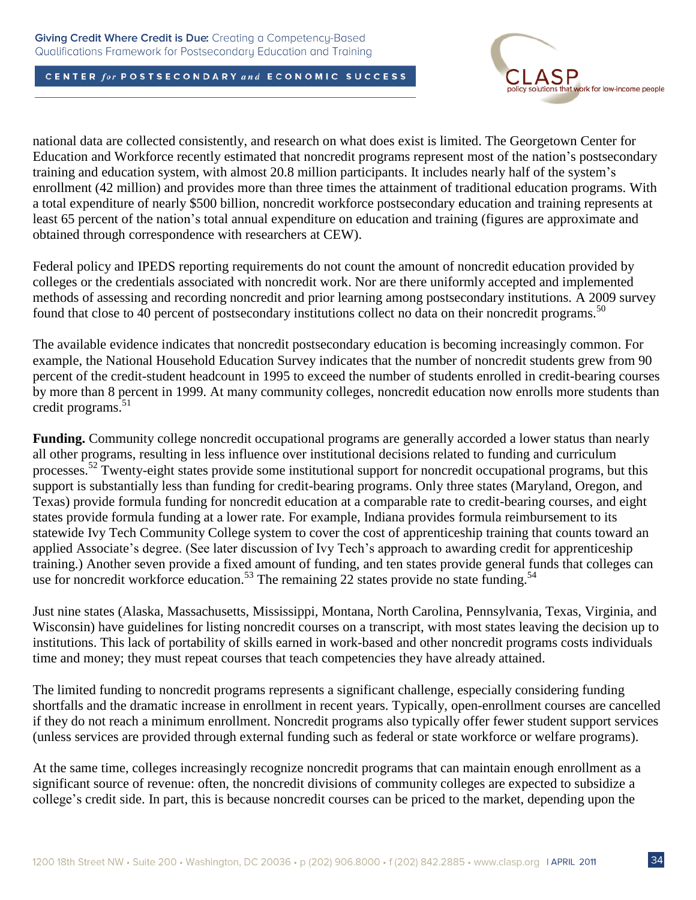

national data are collected consistently, and research on what does exist is limited. The Georgetown Center for Education and Workforce recently estimated that noncredit programs represent most of the nation's postsecondary training and education system, with almost 20.8 million participants. It includes nearly half of the system's enrollment (42 million) and provides more than three times the attainment of traditional education programs. With a total expenditure of nearly \$500 billion, noncredit workforce postsecondary education and training represents at least 65 percent of the nation's total annual expenditure on education and training (figures are approximate and obtained through correspondence with researchers at CEW).

Federal policy and IPEDS reporting requirements do not count the amount of noncredit education provided by colleges or the credentials associated with noncredit work. Nor are there uniformly accepted and implemented methods of assessing and recording noncredit and prior learning among postsecondary institutions. A 2009 survey found that close to 40 percent of postsecondary institutions collect no data on their noncredit programs.<sup>50</sup>

The available evidence indicates that noncredit postsecondary education is becoming increasingly common. For example, the National Household Education Survey indicates that the number of noncredit students grew from 90 percent of the credit-student headcount in 1995 to exceed the number of students enrolled in credit-bearing courses by more than 8 percent in 1999. At many community colleges, noncredit education now enrolls more students than credit programs. $51$ 

**Funding.** Community college noncredit occupational programs are generally accorded a lower status than nearly all other programs, resulting in less influence over institutional decisions related to funding and curriculum processes.<sup>52</sup> Twenty-eight states provide some institutional support for noncredit occupational programs, but this support is substantially less than funding for credit-bearing programs. Only three states (Maryland, Oregon, and Texas) provide formula funding for noncredit education at a comparable rate to credit-bearing courses, and eight states provide formula funding at a lower rate. For example, Indiana provides formula reimbursement to its statewide Ivy Tech Community College system to cover the cost of apprenticeship training that counts toward an applied Associate's degree. (See later discussion of Ivy Tech's approach to awarding credit for apprenticeship training.) Another seven provide a fixed amount of funding, and ten states provide general funds that colleges can use for noncredit workforce education.<sup>53</sup> The remaining 22 states provide no state funding.<sup>54</sup>

Just nine states (Alaska, Massachusetts, Mississippi, Montana, North Carolina, Pennsylvania, Texas, Virginia, and Wisconsin) have guidelines for listing noncredit courses on a transcript, with most states leaving the decision up to institutions. This lack of portability of skills earned in work-based and other noncredit programs costs individuals time and money; they must repeat courses that teach competencies they have already attained.

The limited funding to noncredit programs represents a significant challenge, especially considering funding shortfalls and the dramatic increase in enrollment in recent years. Typically, open-enrollment courses are cancelled if they do not reach a minimum enrollment. Noncredit programs also typically offer fewer student support services (unless services are provided through external funding such as federal or state workforce or welfare programs).

At the same time, colleges increasingly recognize noncredit programs that can maintain enough enrollment as a significant source of revenue: often, the noncredit divisions of community colleges are expected to subsidize a college's credit side. In part, this is because noncredit courses can be priced to the market, depending upon the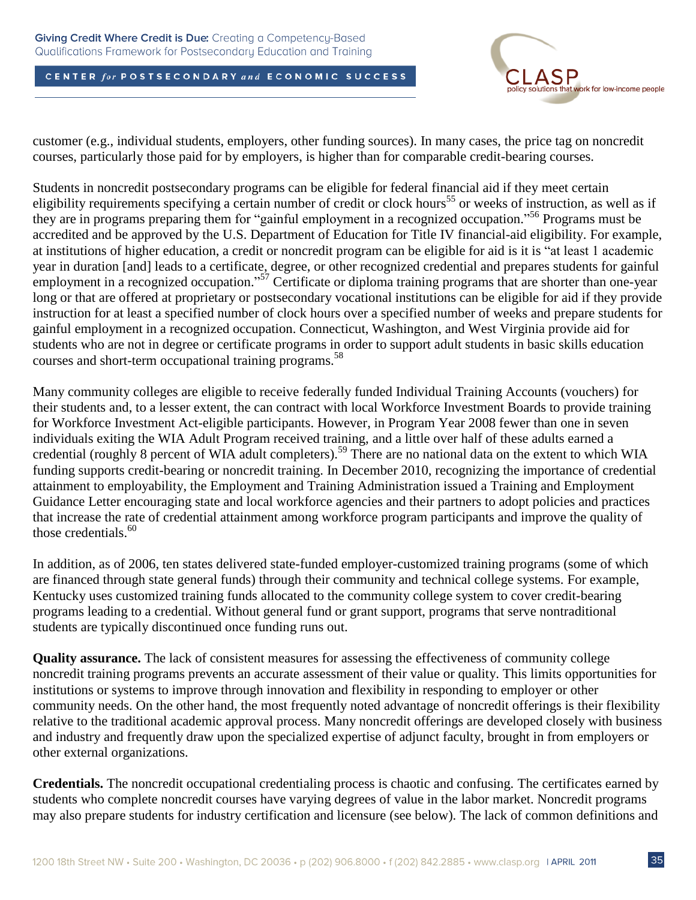

customer (e.g., individual students, employers, other funding sources). In many cases, the price tag on noncredit courses, particularly those paid for by employers, is higher than for comparable credit-bearing courses.

Students in noncredit postsecondary programs can be eligible for federal financial aid if they meet certain eligibility requirements specifying a certain number of credit or clock hours<sup>55</sup> or weeks of instruction, as well as if they are in programs preparing them for "gainful employment in a recognized occupation."<sup>56</sup> Programs must be accredited and be approved by the U.S. Department of Education for Title IV financial-aid eligibility. For example, at institutions of higher education, a credit or noncredit program can be eligible for aid is it is "at least 1 academic year in duration [and] leads to a certificate, degree, or other recognized credential and prepares students for gainful employment in a recognized occupation."<sup>57</sup> Certificate or diploma training programs that are shorter than one-year long or that are offered at proprietary or postsecondary vocational institutions can be eligible for aid if they provide instruction for at least a specified number of clock hours over a specified number of weeks and prepare students for gainful employment in a recognized occupation. Connecticut, Washington, and West Virginia provide aid for students who are not in degree or certificate programs in order to support adult students in basic skills education courses and short-term occupational training programs. 58

Many community colleges are eligible to receive federally funded Individual Training Accounts (vouchers) for their students and, to a lesser extent, the can contract with local Workforce Investment Boards to provide training for Workforce Investment Act-eligible participants. However, in Program Year 2008 fewer than one in seven individuals exiting the WIA Adult Program received training, and a little over half of these adults earned a credential (roughly 8 percent of WIA adult completers).<sup>59</sup> There are no national data on the extent to which WIA funding supports credit-bearing or noncredit training. In December 2010, recognizing the importance of credential attainment to employability, the Employment and Training Administration issued a Training and Employment Guidance Letter encouraging state and local workforce agencies and their partners to adopt policies and practices that increase the rate of credential attainment among workforce program participants and improve the quality of those credentials. 60

In addition, as of 2006, ten states delivered state-funded employer-customized training programs (some of which are financed through state general funds) through their community and technical college systems. For example, Kentucky uses customized training funds allocated to the community college system to cover credit-bearing programs leading to a credential. Without general fund or grant support, programs that serve nontraditional students are typically discontinued once funding runs out.

**Quality assurance.** The lack of consistent measures for assessing the effectiveness of community college noncredit training programs prevents an accurate assessment of their value or quality. This limits opportunities for institutions or systems to improve through innovation and flexibility in responding to employer or other community needs. On the other hand, the most frequently noted advantage of noncredit offerings is their flexibility relative to the traditional academic approval process. Many noncredit offerings are developed closely with business and industry and frequently draw upon the specialized expertise of adjunct faculty, brought in from employers or other external organizations.

**Credentials.** The noncredit occupational credentialing process is chaotic and confusing. The certificates earned by students who complete noncredit courses have varying degrees of value in the labor market. Noncredit programs may also prepare students for industry certification and licensure (see below). The lack of common definitions and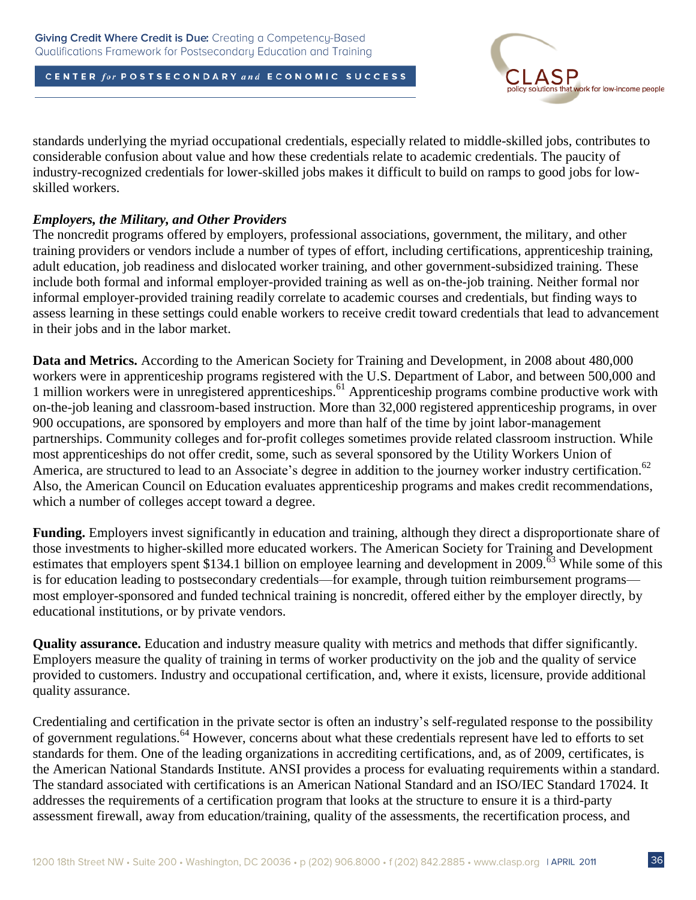

standards underlying the myriad occupational credentials, especially related to middle-skilled jobs, contributes to considerable confusion about value and how these credentials relate to academic credentials. The paucity of industry-recognized credentials for lower-skilled jobs makes it difficult to build on ramps to good jobs for lowskilled workers.

### *Employers, the Military, and Other Providers*

The noncredit programs offered by employers, professional associations, government, the military, and other training providers or vendors include a number of types of effort, including certifications, apprenticeship training, adult education, job readiness and dislocated worker training, and other government-subsidized training. These include both formal and informal employer-provided training as well as on-the-job training. Neither formal nor informal employer-provided training readily correlate to academic courses and credentials, but finding ways to assess learning in these settings could enable workers to receive credit toward credentials that lead to advancement in their jobs and in the labor market.

**Data and Metrics.** According to the American Society for Training and Development, in 2008 about 480,000 workers were in apprenticeship programs registered with the U.S. Department of Labor, and between 500,000 and 1 million workers were in unregistered apprenticeships.<sup>61</sup> Apprenticeship programs combine productive work with on-the-job leaning and classroom-based instruction. More than 32,000 registered apprenticeship programs, in over 900 occupations, are sponsored by employers and more than half of the time by joint labor-management partnerships. Community colleges and for-profit colleges sometimes provide related classroom instruction. While most apprenticeships do not offer credit, some, such as several sponsored by the Utility Workers Union of America, are structured to lead to an Associate's degree in addition to the journey worker industry certification.<sup>62</sup> Also, the American Council on Education evaluates apprenticeship programs and makes credit recommendations, which a number of colleges accept toward a degree.

**Funding.** Employers invest significantly in education and training, although they direct a disproportionate share of those investments to higher-skilled more educated workers. The American Society for Training and Development estimates that employers spent \$134.1 billion on employee learning and development in 2009.<sup>63</sup> While some of this is for education leading to postsecondary credentials—for example, through tuition reimbursement programs most employer-sponsored and funded technical training is noncredit, offered either by the employer directly, by educational institutions, or by private vendors.

**Quality assurance.** Education and industry measure quality with metrics and methods that differ significantly. Employers measure the quality of training in terms of worker productivity on the job and the quality of service provided to customers. Industry and occupational certification, and, where it exists, licensure, provide additional quality assurance.

Credentialing and certification in the private sector is often an industry's self-regulated response to the possibility of government regulations.<sup>64</sup> However, concerns about what these credentials represent have led to efforts to set standards for them. One of the leading organizations in accrediting certifications, and, as of 2009, certificates, is the American National Standards Institute. ANSI provides a process for evaluating requirements within a standard. The standard associated with certifications is an American National Standard and an ISO/IEC Standard 17024. It addresses the requirements of a certification program that looks at the structure to ensure it is a third-party assessment firewall, away from education/training, quality of the assessments, the recertification process, and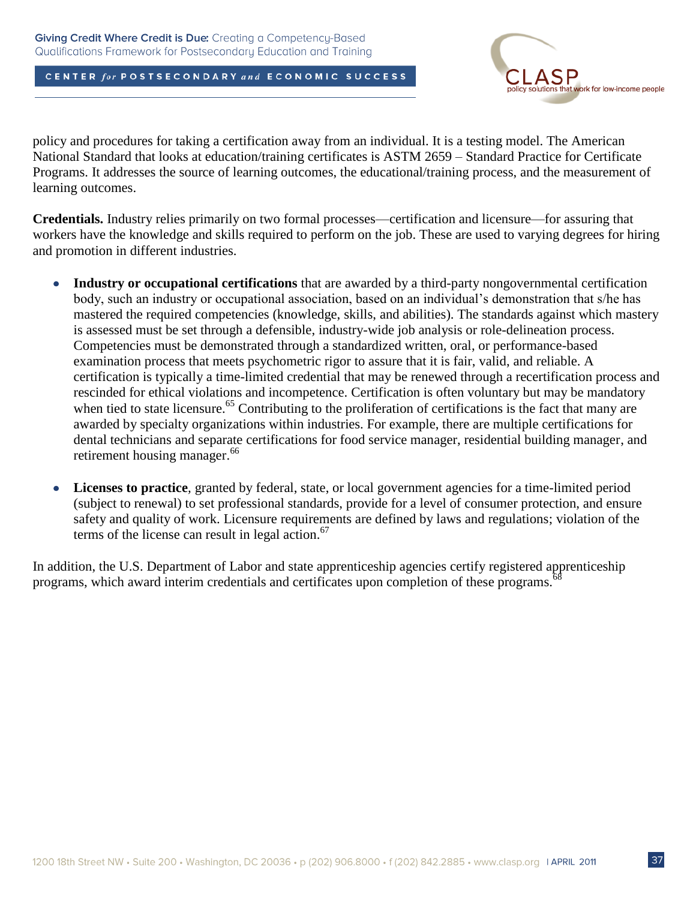

policy and procedures for taking a certification away from an individual. It is a testing model. The American National Standard that looks at education/training certificates is ASTM 2659 – Standard Practice for Certificate Programs. It addresses the source of learning outcomes, the educational/training process, and the measurement of learning outcomes.

**Credentials.** Industry relies primarily on two formal processes—certification and licensure—for assuring that workers have the knowledge and skills required to perform on the job. These are used to varying degrees for hiring and promotion in different industries.

- **Industry or occupational certifications** that are awarded by a third-party nongovernmental certification  $\bullet$ body, such an industry or occupational association, based on an individual's demonstration that s/he has mastered the required competencies (knowledge, skills, and abilities). The standards against which mastery is assessed must be set through a defensible, industry-wide job analysis or role-delineation process. Competencies must be demonstrated through a standardized written, oral, or performance-based examination process that meets psychometric rigor to assure that it is fair, valid, and reliable. A certification is typically a time-limited credential that may be renewed through a recertification process and rescinded for ethical violations and incompetence. Certification is often voluntary but may be mandatory when tied to state licensure.<sup>65</sup> Contributing to the proliferation of certifications is the fact that many are awarded by specialty organizations within industries. For example, there are multiple certifications for dental technicians and separate certifications for food service manager, residential building manager, and retirement housing manager.<sup>66</sup>
- **Licenses to practice***,* granted by federal, state, or local government agencies for a time-limited period  $\bullet$ (subject to renewal) to set professional standards, provide for a level of consumer protection, and ensure safety and quality of work. Licensure requirements are defined by laws and regulations; violation of the terms of the license can result in legal action. 67

In addition, the U.S. Department of Labor and state apprenticeship agencies certify registered apprenticeship programs, which award interim credentials and certificates upon completion of these programs. <sup>68</sup>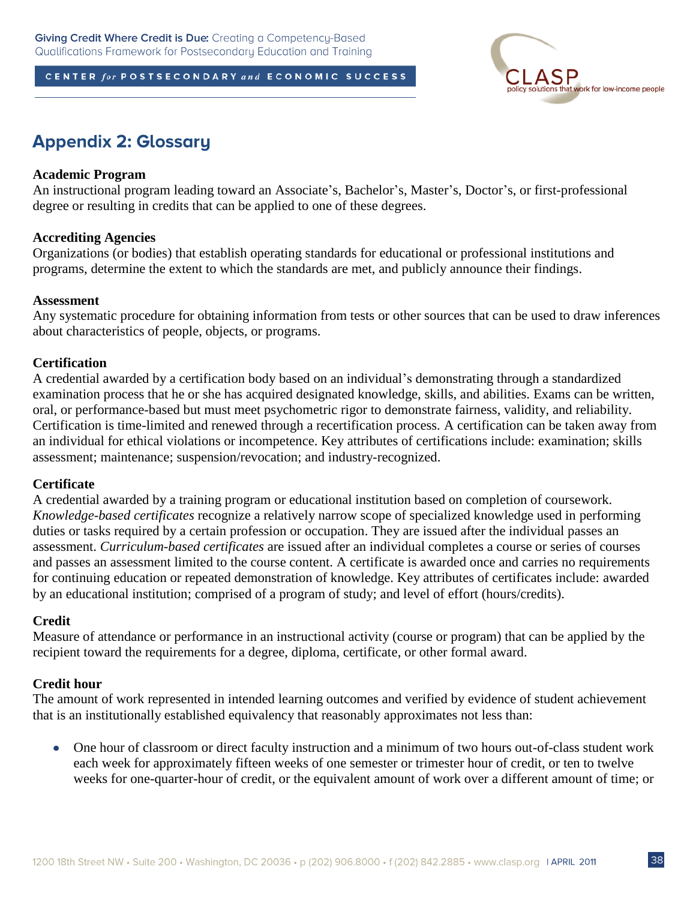

## **Appendix 2: Glossary**

### **Academic Program**

An instructional program leading toward an Associate's, Bachelor's, Master's, Doctor's, or first-professional degree or resulting in credits that can be applied to one of these degrees.

### **Accrediting Agencies**

Organizations (or bodies) that establish operating standards for educational or professional institutions and programs, determine the extent to which the standards are met, and publicly announce their findings.

#### **Assessment**

Any systematic procedure for obtaining information from tests or other sources that can be used to draw inferences about characteristics of people, objects, or programs.

### **Certification**

A credential awarded by a certification body based on an individual's demonstrating through a standardized examination process that he or she has acquired designated knowledge, skills, and abilities. Exams can be written, oral, or performance-based but must meet psychometric rigor to demonstrate fairness, validity, and reliability. Certification is time-limited and renewed through a recertification process. A certification can be taken away from an individual for ethical violations or incompetence. Key attributes of certifications include: examination; skills assessment; maintenance; suspension/revocation; and industry-recognized.

#### **Certificate**

A credential awarded by a training program or educational institution based on completion of coursework. *Knowledge-based certificates* recognize a relatively narrow scope of specialized knowledge used in performing duties or tasks required by a certain profession or occupation. They are issued after the individual passes an assessment. *Curriculum-based certificates* are issued after an individual completes a course or series of courses and passes an assessment limited to the course content. A certificate is awarded once and carries no requirements for continuing education or repeated demonstration of knowledge. Key attributes of certificates include: awarded by an educational institution; comprised of a program of study; and level of effort (hours/credits).

#### **Credit**

Measure of attendance or performance in an instructional activity (course or program) that can be applied by the recipient toward the requirements for a degree, diploma, certificate, or other formal award.

### **Credit hour**

The amount of work represented in intended learning outcomes and verified by evidence of student achievement that is an institutionally established equivalency that reasonably approximates not less than:

One hour of classroom or direct faculty instruction and a minimum of two hours out-of-class student work each week for approximately fifteen weeks of one semester or trimester hour of credit, or ten to twelve weeks for one-quarter-hour of credit, or the equivalent amount of work over a different amount of time; or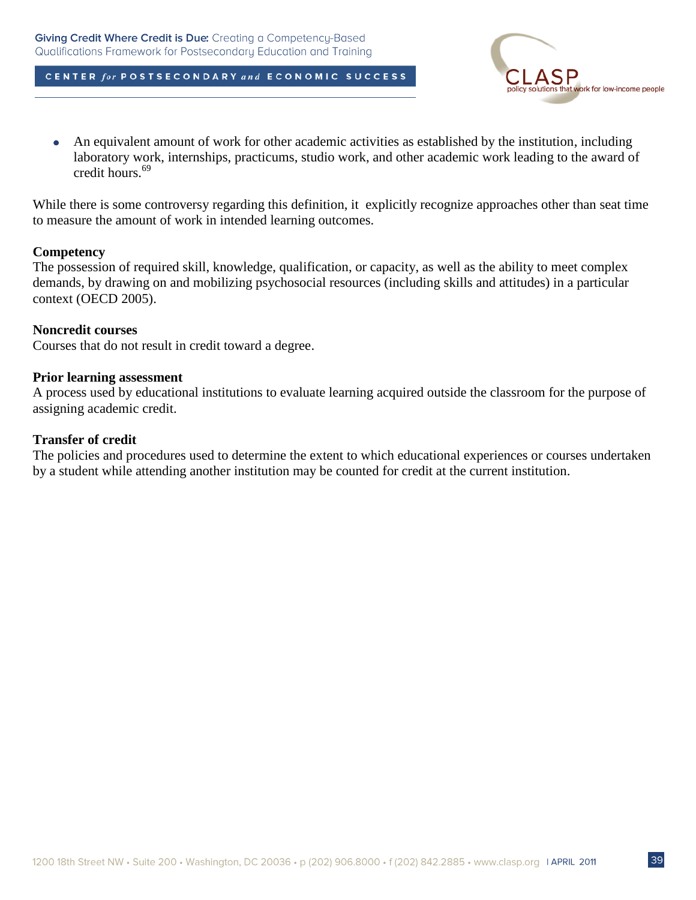

An equivalent amount of work for other academic activities as established by the institution, including  $\bullet$ laboratory work, internships, practicums, studio work, and other academic work leading to the award of credit hours.<sup>69</sup>

While there is some controversy regarding this definition, it explicitly recognize approaches other than seat time to measure the amount of work in intended learning outcomes.

#### **Competency**

The possession of required skill, knowledge, qualification, or capacity, as well as the ability to meet complex demands, by drawing on and mobilizing psychosocial resources (including skills and attitudes) in a particular context (OECD 2005).

#### **Noncredit courses**

Courses that do not result in credit toward a degree.

#### **Prior learning assessment**

A process used by educational institutions to evaluate learning acquired outside the classroom for the purpose of assigning academic credit.

### **Transfer of credit**

The policies and procedures used to determine the extent to which educational experiences or courses undertaken by a student while attending another institution may be counted for credit at the current institution.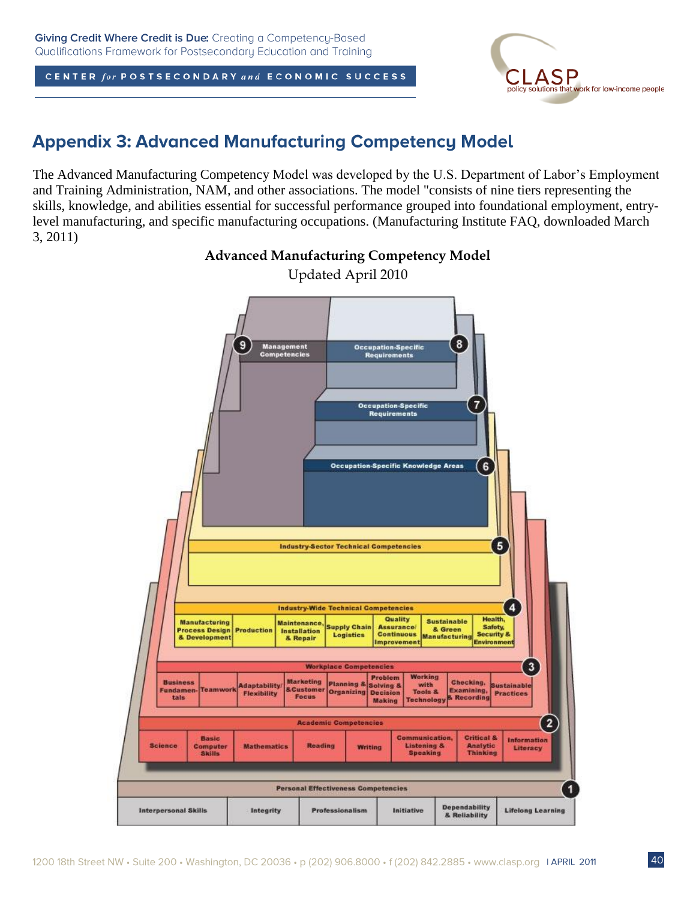

## **Appendix 3: Advanced Manufacturing Competency Model**

The Advanced Manufacturing Competency Model was developed by the U.S. Department of Labor's Employment and Training Administration, NAM, and other associations. The model "consists of nine tiers representing the skills, knowledge, and abilities essential for successful performance grouped into foundational employment, entrylevel manufacturing, and specific manufacturing occupations. (Manufacturing Institute FAQ, downloaded March 3, 2011)



**Advanced Manufacturing Competency Model**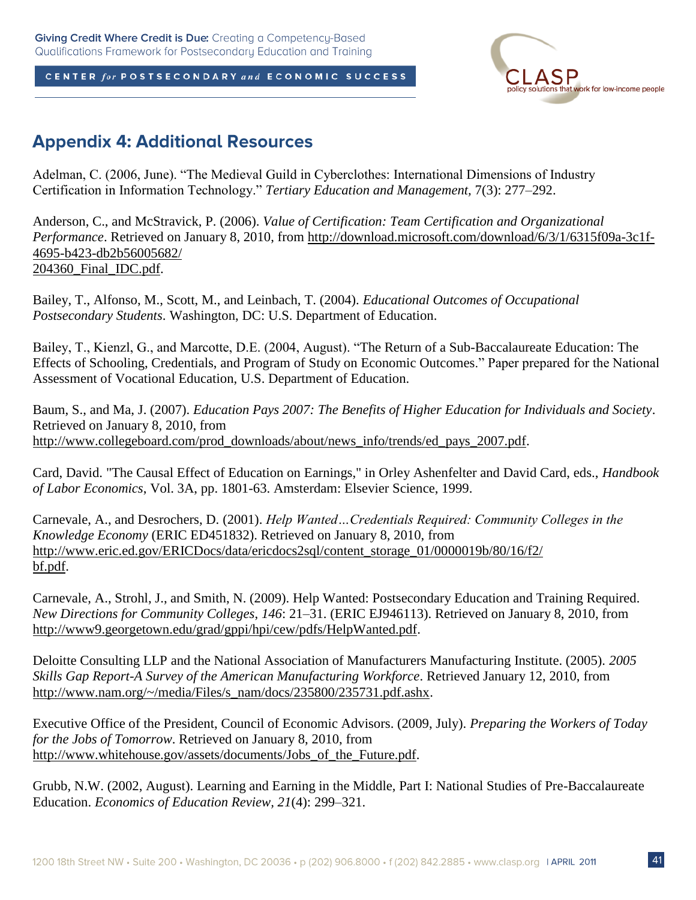

## **Appendix 4: Additional Resources**

Adelman, C. (2006, June). "The Medieval Guild in Cyberclothes: International Dimensions of Industry Certification in Information Technology.‖ *Tertiary Education and Management,* 7(3): 277–292.

Anderson, C., and McStravick, P. (2006). *Value of Certification: Team Certification and Organizational Performance*. Retrieved on January 8, 2010, from http://download.microsoft.com/download/6/3/1/6315f09a-3c1f-4695-b423-db2b56005682/ 204360\_Final\_IDC.pdf.

Bailey, T., Alfonso, M., Scott, M., and Leinbach, T. (2004). *Educational Outcomes of Occupational Postsecondary Students*. Washington, DC: U.S. Department of Education.

Bailey, T., Kienzl, G., and Marcotte, D.E. (2004, August). "The Return of a Sub-Baccalaureate Education: The Effects of Schooling, Credentials, and Program of Study on Economic Outcomes." Paper prepared for the National Assessment of Vocational Education, U.S. Department of Education.

Baum, S., and Ma, J. (2007). *Education Pays 2007: The Benefits of Higher Education for Individuals and Society*. Retrieved on January 8, 2010, from http://www.collegeboard.com/prod\_downloads/about/news\_info/trends/ed\_pays\_2007.pdf.

Card, David. "The Causal Effect of Education on Earnings," in Orley Ashenfelter and David Card, eds., *Handbook of Labor Economics*, Vol. 3A, pp. 1801-63. Amsterdam: Elsevier Science, 1999.

Carnevale, A., and Desrochers, D. (2001). *Help Wanted…Credentials Required: Community Colleges in the Knowledge Economy* (ERIC ED451832). Retrieved on January 8, 2010, from http://www.eric.ed.gov/ERICDocs/data/ericdocs2sql/content\_storage\_01/0000019b/80/16/f2/ bf.pdf.

Carnevale, A., Strohl, J., and Smith, N. (2009). Help Wanted: Postsecondary Education and Training Required*. New Directions for Community Colleges*, *146*: 21–31. (ERIC EJ946113). Retrieved on January 8, 2010, from http://www9.georgetown.edu/grad/gppi/hpi/cew/pdfs/HelpWanted.pdf.

Deloitte Consulting LLP and the National Association of Manufacturers Manufacturing Institute. (2005). *2005 Skills Gap Report-A Survey of the American Manufacturing Workforce*. Retrieved January 12, 2010, from http://www.nam.org/~/media/Files/s\_nam/docs/235800/235731.pdf.ashx.

Executive Office of the President, Council of Economic Advisors. (2009, July). *Preparing the Workers of Today for the Jobs of Tomorrow*. Retrieved on January 8, 2010, from http://www.whitehouse.gov/assets/documents/Jobs of the Future.pdf.

Grubb, N.W. (2002, August). Learning and Earning in the Middle, Part I: National Studies of Pre-Baccalaureate Education. *Economics of Education Review, 21*(4): 299–321.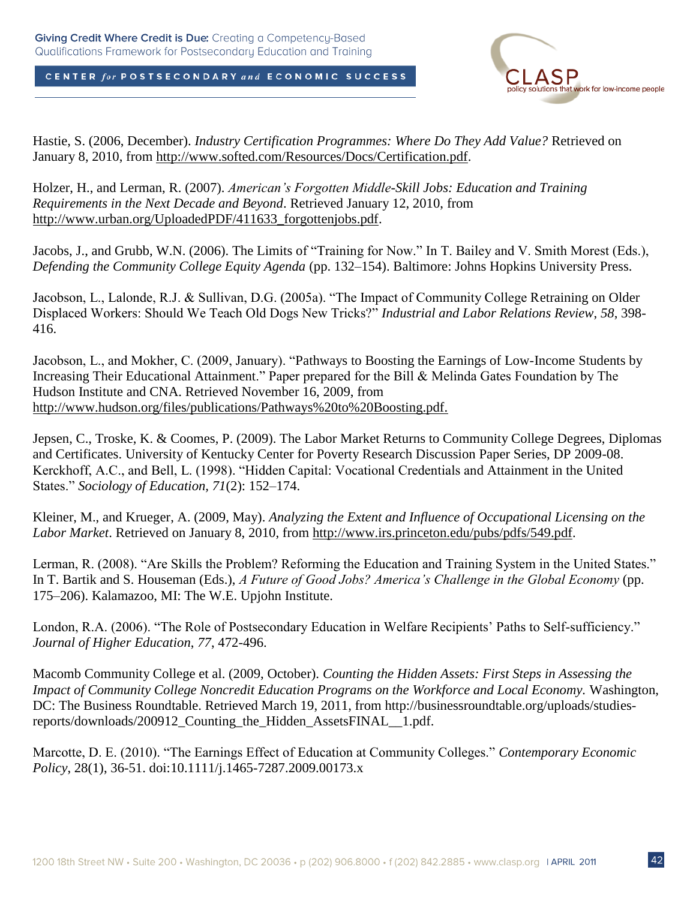

Hastie, S. (2006, December). *Industry Certification Programmes: Where Do They Add Value?* Retrieved on January 8, 2010, from http://www.softed.com/Resources/Docs/Certification.pdf.

Holzer, H., and Lerman, R. (2007). *American's Forgotten Middle-Skill Jobs: Education and Training Requirements in the Next Decade and Beyond*. Retrieved January 12, 2010, from http://www.urban.org/UploadedPDF/411633\_forgottenjobs.pdf.

Jacobs, J., and Grubb, W.N. (2006). The Limits of "Training for Now." In T. Bailey and V. Smith Morest (Eds.), *Defending the Community College Equity Agenda* (pp. 132–154). Baltimore: Johns Hopkins University Press.

Jacobson, L., Lalonde, R.J. & Sullivan, D.G. (2005a). "The Impact of Community College Retraining on Older Displaced Workers: Should We Teach Old Dogs New Tricks?‖ *Industrial and Labor Relations Review*, *58*, 398- 416.

Jacobson, L., and Mokher, C. (2009, January). "Pathways to Boosting the Earnings of Low-Income Students by Increasing Their Educational Attainment." Paper prepared for the Bill & Melinda Gates Foundation by The Hudson Institute and CNA. Retrieved November 16, 2009, from http://www.hudson.org/files/publications/Pathways%20to%20Boosting.pdf.

Jepsen, C., Troske, K. & Coomes, P. (2009). The Labor Market Returns to Community College Degrees, Diplomas and Certificates. University of Kentucky Center for Poverty Research Discussion Paper Series, DP 2009-08. Kerckhoff, A.C., and Bell, L. (1998). "Hidden Capital: Vocational Credentials and Attainment in the United States.‖ *Sociology of Education, 71*(2): 152–174.

Kleiner, M., and Krueger, A. (2009, May). *Analyzing the Extent and Influence of Occupational Licensing on the Labor Market*. Retrieved on January 8, 2010, from http://www.irs.princeton.edu/pubs/pdfs/549.pdf.

Lerman, R. (2008). "Are Skills the Problem? Reforming the Education and Training System in the United States." In T. Bartik and S. Houseman (Eds.), *A Future of Good Jobs? America's Challenge in the Global Economy* (pp. 175–206). Kalamazoo, MI: The W.E. Upjohn Institute.

London, R.A. (2006). "The Role of Postsecondary Education in Welfare Recipients' Paths to Self-sufficiency." *Journal of Higher Education*, *77*, 472-496.

Macomb Community College et al. (2009, October). *Counting the Hidden Assets: First Steps in Assessing the Impact of Community College Noncredit Education Programs on the Workforce and Local Economy.* Washington, DC: The Business Roundtable. Retrieved March 19, 2011, from http://businessroundtable.org/uploads/studiesreports/downloads/200912\_Counting\_the\_Hidden\_AssetsFINAL\_\_1.pdf.

Marcotte, D. E. (2010). "The Earnings Effect of Education at Community Colleges." Contemporary Economic *Policy*, 28(1), 36-51. doi:10.1111/j.1465-7287.2009.00173.x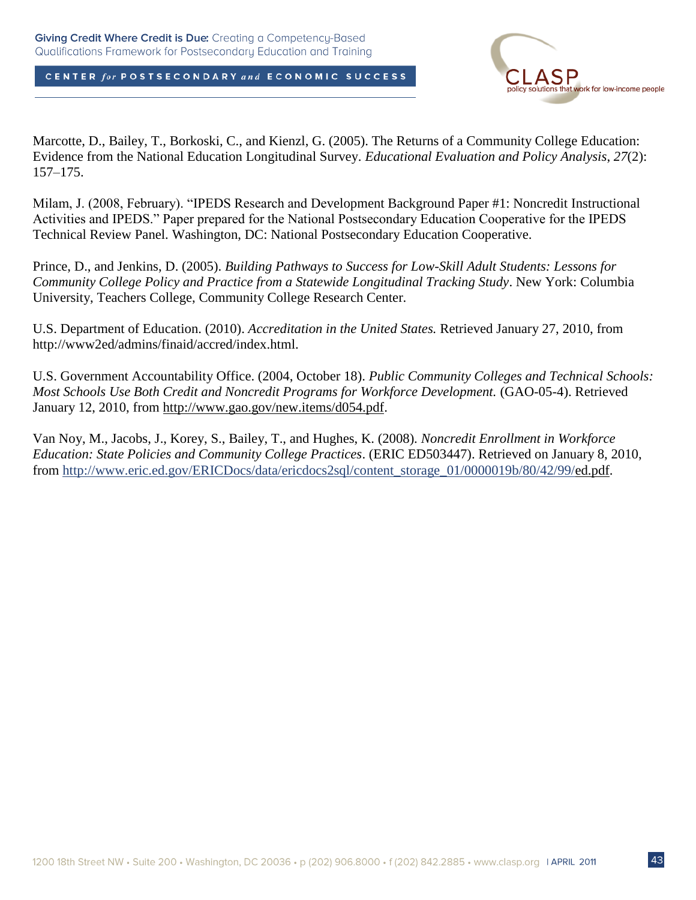

Marcotte, D., Bailey, T., Borkoski, C., and Kienzl, G. (2005). The Returns of a Community College Education: Evidence from the National Education Longitudinal Survey. *Educational Evaluation and Policy Analysis*, *27*(2): 157–175.

Milam, J. (2008, February). "IPEDS Research and Development Background Paper #1: Noncredit Instructional Activities and IPEDS." Paper prepared for the National Postsecondary Education Cooperative for the IPEDS Technical Review Panel. Washington, DC: National Postsecondary Education Cooperative.

Prince, D., and Jenkins, D. (2005). *Building Pathways to Success for Low-Skill Adult Students: Lessons for Community College Policy and Practice from a Statewide Longitudinal Tracking Study*. New York: Columbia University, Teachers College, Community College Research Center.

U.S. Department of Education. (2010). *Accreditation in the United States.* Retrieved January 27, 2010, from http://www2ed/admins/finaid/accred/index.html.

U.S. Government Accountability Office. (2004, October 18). *Public Community Colleges and Technical Schools: Most Schools Use Both Credit and Noncredit Programs for Workforce Development.* (GAO-05-4). Retrieved January 12, 2010, from http://www.gao.gov/new.items/d054.pdf.

Van Noy, M., Jacobs, J., Korey, S., Bailey, T., and Hughes, K. (2008). *Noncredit Enrollment in Workforce Education: State Policies and Community College Practices*. (ERIC ED503447). Retrieved on January 8, 2010, from [http://www.eric.ed.gov/ERICDocs/data/ericdocs2sql/content\\_storage\\_01/0000019b/80/42/99/e](http://www.eric.ed.gov/ERICDocs/data/ericdocs2sql/content_storage_01/0000019b/80/42/99/)d.pdf.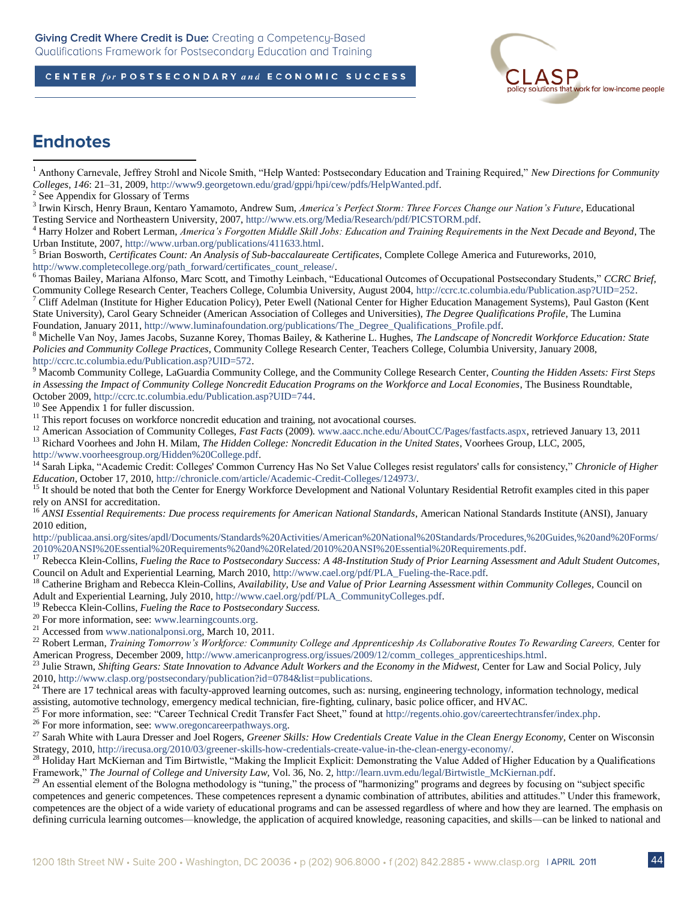

## **Endnotes**

 $\overline{a}$ 

<sup>4</sup> Harry Holzer and Robert Lerman, *America's Forgotten Middle Skill Jobs: Education and Training Requirements in the Next Decade and Beyond*, The Urban Institute, 2007, [http://www.urban.org/publications/411633.html.](http://www.urban.org/publications/411633.html)

<sup>5</sup> Brian Bosworth, *Certificates Count: An Analysis of Sub-baccalaureate Certificates*, Complete College America and Futureworks, 2010, [http://www.completecollege.org/path\\_forward/certificates\\_count\\_release/.](http://www.completecollege.org/path_forward/certificates_count_release/) 

<sup>6</sup> Thomas Bailey, Mariana Alfonso, Marc Scott, and Timothy Leinbach, "Educational Outcomes of Occupational Postsecondary Students," CCRC Brief, Community College Research Center, Teachers College, Columbia University, August 2004, [http://ccrc.tc.columbia.edu/Publication.asp?UID=252.](http://ccrc.tc.columbia.edu/Publication.asp?UID=252)

<sup>7</sup> Cliff Adelman (Institute for Higher Education Policy), Peter Ewell (National Center for Higher Education Management Systems), Paul Gaston (Kent State University), Carol Geary Schneider (American Association of Colleges and Universities), *The Degree Qualifications Profile*, The Lumina Foundation, January 2011, [http://www.luminafoundation.org/publications/The\\_Degree\\_Qualifications\\_Profile.pdf.](http://www.luminafoundation.org/publications/The_Degree_Qualifications_Profile.pdf)

<sup>8</sup> Michelle Van Noy, James Jacobs, Suzanne Korey, Thomas Bailey, & Katherine L. Hughes, *The Landscape of Noncredit Workforce Education: State Policies and Community College Practices*, Community College Research Center, Teachers College, Columbia University, January 2008, [http://ccrc.tc.columbia.edu/Publication.asp?UID=572.](http://ccrc.tc.columbia.edu/Publication.asp?UID=572) 

<sup>9</sup> Macomb Community College, LaGuardia Community College, and the Community College Research Center, *Counting the Hidden Assets: First Steps*  in Assessing the Impact of Community College Noncredit Education Programs on the Workforce and Local Economies, The Business Roundtable, October 2009[, http://ccrc.tc.columbia.edu/Publication.asp?UID=744.](http://ccrc.tc.columbia.edu/Publication.asp?UID=744)

 $10$  See Appendix 1 for fuller discussion.

 $11$ <sup>11</sup> This report focuses on workforce noncredit education and training, not avocational courses.

<sup>12</sup> American Association of Community Colleges, *Fast Facts* (2009)[. www.aacc.nche.edu/AboutCC/Pages/fastfacts.aspx,](http://www.aacc.nche.edu/AboutCC/Pages/fastfacts.aspx) retrieved January 13, 2011

<sup>13</sup> Richard Voorhees and John H. Milam, *The Hidden College: Noncredit Education in the United States*, Voorhees Group, LLC, 2005,

[http://www.voorheesgroup.org/Hidden%20College.pdf.](http://www.voorheesgroup.org/Hidden%20College.pdf) 

<sup>14</sup> Sarah Lipka, "Academic Credit: Colleges' Common Currency Has No Set Value Colleges resist regulators' calls for consistency," Chronicle of Higher *Education*, October 17, 2010[, http://chronicle.com/article/Academic-Credit-Colleges/124973/.](http://chronicle.com/article/Academic-Credit-Colleges/124973/)

<sup>15</sup> It should be noted that both the Center for Energy Workforce Development and National Voluntary Residential Retrofit examples cited in this paper rely on ANSI for accreditation.

<sup>16</sup> *ANSI Essential Requirements: Due process requirements for American National Standards*, American National Standards Institute (ANSI), January 2010 edition,

[http://publicaa.ansi.org/sites/apdl/Documents/Standards%20Activities/American%20National%20Standards/Procedures,%20Guides,%20and%20Forms/](http://publicaa.ansi.org/sites/apdl/Documents/Standards%20Activities/American%20National%20Standards/Procedures,%20Guides,%20and%20Forms/2010%20ANSI%20Essential%20Requirements%20and%20Related/2010%20ANSI%20Essential%20Requirements.pdf) [2010%20ANSI%20Essential%20Requirements%20and%20Related/2010%20ANSI%20Essential%20Requirements.pdf.](http://publicaa.ansi.org/sites/apdl/Documents/Standards%20Activities/American%20National%20Standards/Procedures,%20Guides,%20and%20Forms/2010%20ANSI%20Essential%20Requirements%20and%20Related/2010%20ANSI%20Essential%20Requirements.pdf)

<sup>17</sup> Rebecca Klein-Collins, *Fueling the Race to Postsecondary Success: A 48-Institution Study of Prior Learning Assessment and Adult Student Outcomes,* Council on Adult and Experiential Learning, March 2010, [http://www.cael.org/pdf/PLA\\_Fueling-the-Race.pdf.](http://www.cael.org/pdf/PLA_Fueling-the-Race.pdf) 

<sup>18</sup> Catherine Brigham and Rebecca Klein-Collins, *Availability, Use and Value of Prior Learning Assessment within Community Colleges,* Council on Adult and Experiential Learning, July 2010, [http://www.cael.org/pdf/PLA\\_CommunityColleges.pdf.](http://www.cael.org/pdf/PLA_CommunityColleges.pdf)

<sup>19</sup> Rebecca Klein-Collins, *Fueling the Race to Postsecondary Success.*

<sup>20</sup> For more information, see: [www.learningcounts.org.](http://www.learningcounts.org/)

<sup>21</sup> Accessed from [www.nationalponsi.org,](http://www.nationalponsi.org/) March 10, 2011.

<sup>22</sup> Robert Lerman, *Training Tomorrow's Workforce: Community College and Apprenticeship As Collaborative Routes To Rewarding Careers, Center for* American Progress, December 2009, [http://www.americanprogress.org/issues/2009/12/comm\\_colleges\\_apprenticeships.html.](http://www.americanprogress.org/issues/2009/12/comm_colleges_apprenticeships.html)

<sup>23</sup> Julie Strawn, *Shifting Gears: State Innovation to Advance Adult Workers and the Economy in the Midwest,* Center for Law and Social Policy, July 2010[, http://www.clasp.org/postsecondary/publication?id=0784&list=publications.](http://www.clasp.org/postsecondary/publication?id=0784&list=publications) 

<sup>24</sup> There are 17 technical areas with faculty-approved learning outcomes, such as: nursing, engineering technology, information technology, medical assisting, automotive technology, emergency medical technician, fire-fighting, culinary, basic police officer, and HVAC.

<sup>25</sup> For more information, see: "Career Technical Credit Transfer Fact Sheet," found at [http://regents.ohio.gov/careertechtransfer/index.php.](http://regents.ohio.gov/careertechtransfer/index.php)

<sup>26</sup> For more information, see: [www.oregoncareerpathways.org.](http://www.oregoncareerpathways.org/)

<sup>27</sup> Sarah White with Laura Dresser and Joel Rogers, *Greener Skills: How Credentials Create Value in the Clean Energy Economy*, Center on Wisconsin Strategy, 2010, [http://irecusa.org/2010/03/greener-skills-how-credentials-create-value-in-the-clean-energy-economy/.](http://irecusa.org/2010/03/greener-skills-how-credentials-create-value-in-the-clean-energy-economy/)

 $^{28}$  Holiday Hart McKiernan and Tim Birtwistle, "Making the Implicit Explicit: Demonstrating the Value Added of Higher Education by a Qualifications Framework," The Journal of College and University Law, Vol. 36, No. 2, http://learn.uvm.edu/legal/Birtwistle\_McKiernan.pdf.

<sup>29</sup> An essential element of the Bologna methodology is "tuning," the process of "harmonizing" programs and degrees by focusing on "subject specific competences and generic competences. These competences represent a dynamic combination of attributes, abilities and attitudes." Under this framework, competences are the object of a wide variety of educational programs and can be assessed regardless of where and how they are learned. The emphasis on defining curricula learning outcomes—knowledge, the application of acquired knowledge, reasoning capacities, and skills—can be linked to national and

<sup>&</sup>lt;sup>1</sup> Anthony Carnevale, Jeffrey Strohl and Nicole Smith, "Help Wanted: Postsecondary Education and Training Required," New Directions for Community *Colleges*, *146*: 21–31, 2009[, http://www9.georgetown.edu/grad/gppi/hpi/cew/pdfs/HelpWanted.pdf.](http://www9.georgetown.edu/grad/gppi/hpi/cew/pdfs/HelpWanted.pdf)

<sup>&</sup>lt;sup>2</sup> See Appendix for Glossary of Terms

<sup>3</sup> Irwin Kirsch, Henry Braun, Kentaro Yamamoto, Andrew Sum, *America's Perfect Storm: Three Forces Change our Nation's Future*, Educational Testing Service and Northeastern University, 2007[, http://www.ets.org/Media/Research/pdf/PICSTORM.pdf.](http://www.ets.org/Media/Research/pdf/PICSTORM.pdf)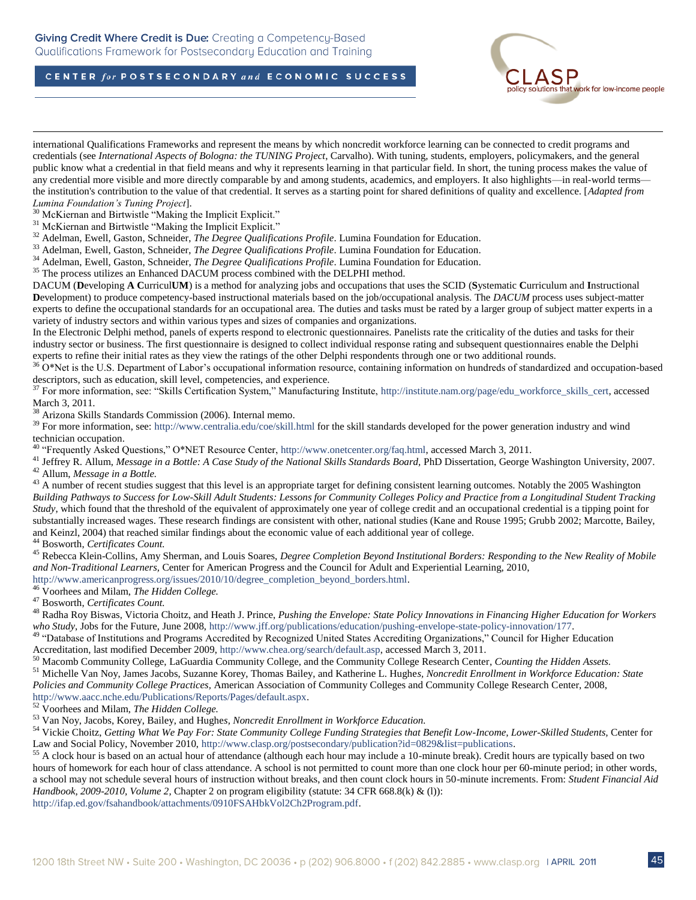



<sup>52</sup> Voorhees and Milam, *The Hidden College.*

<sup>53</sup> Van Noy, Jacobs, Korey, Bailey, and Hughe*s, Noncredit Enrollment in Workforce Education.*

54 Vickie Choitz, *Getting What We Pay For: State Community College Funding Strategies that Benefit Low-Income, Lower-Skilled Students, Center for* Law and Social Policy, November 2010, http://www.clasp.org/postsecondary/publication?id=0829&list=publications.

<sup>55</sup> A clock hour is based on an actual hour of attendance (although each hour may include a 10-minute break). Credit hours are typically based on two hours of homework for each hour of class attendance. A school is not permitted to count more than one clock hour per 60-minute period; in other words, a school may not schedule several hours of instruction without breaks, and then count clock hours in 50-minute increments. From: *Student Financial Aid Handbook, 2009-2010, Volume 2,* Chapter 2 on program eligibility (statute: 34 CFR 668.8(k) & (l)):

[http://ifap.ed.gov/fsahandbook/attachments/0910FSAHbkVol2Ch2Program.pdf.](https://owa.clasp.org/exchweb/bin/redir.asp?URL=http://ifap.ed.gov/fsahandbook/attachments/0910FSAHbkVol2Ch2Program.pdf)